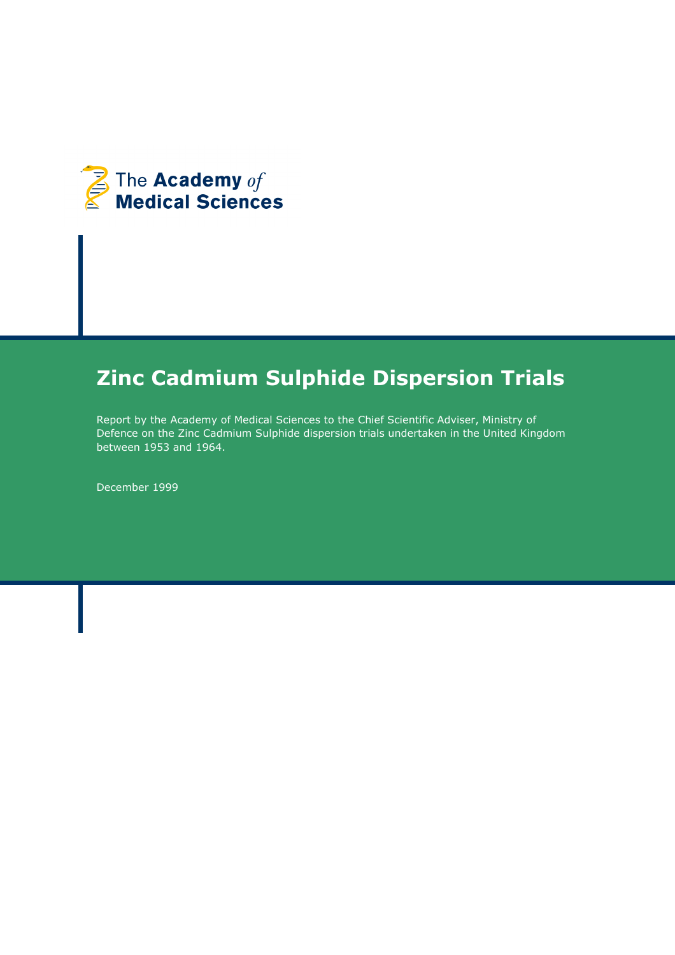

# Zinc Cadmium Sulphide Dispersion Trials

Report by the Academy of Medical Sciences to the Chief Scientific Adviser, Ministry of Defence on the Zinc Cadmium Sulphide dispersion trials undertaken in the United Kingdom between 1953 and 1964.

December 1999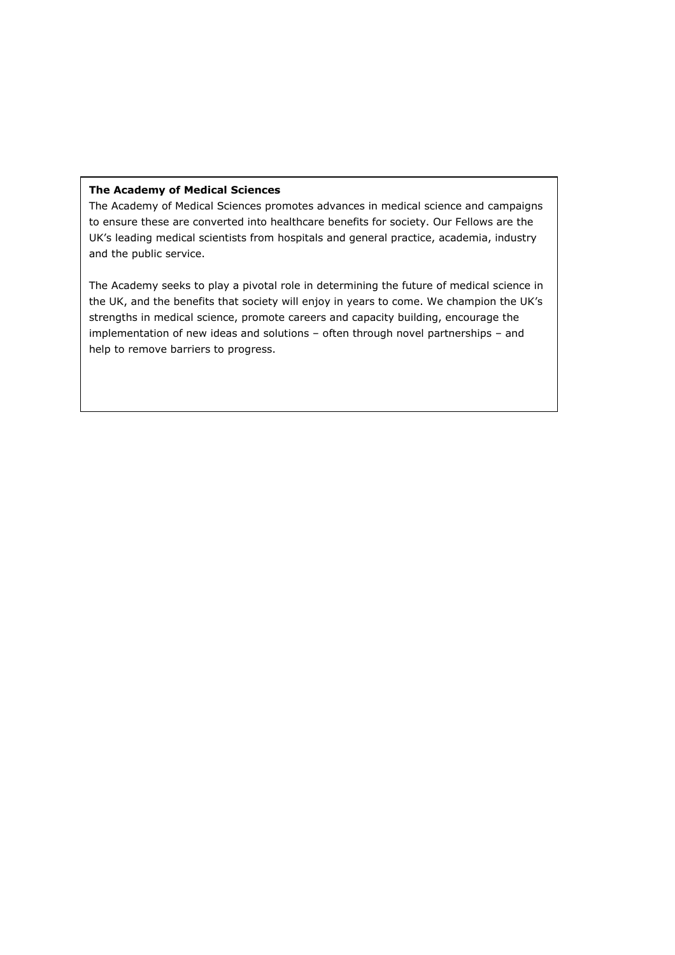#### The Academy of Medical Sciences

The Academy of Medical Sciences promotes advances in medical science and campaigns to ensure these are converted into healthcare benefits for society. Our Fellows are the UK's leading medical scientists from hospitals and general practice, academia, industry and the public service.

The Academy seeks to play a pivotal role in determining the future of medical science in the UK, and the benefits that society will enjoy in years to come. We champion the UK's strengths in medical science, promote careers and capacity building, encourage the implementation of new ideas and solutions – often through novel partnerships – and help to remove barriers to progress.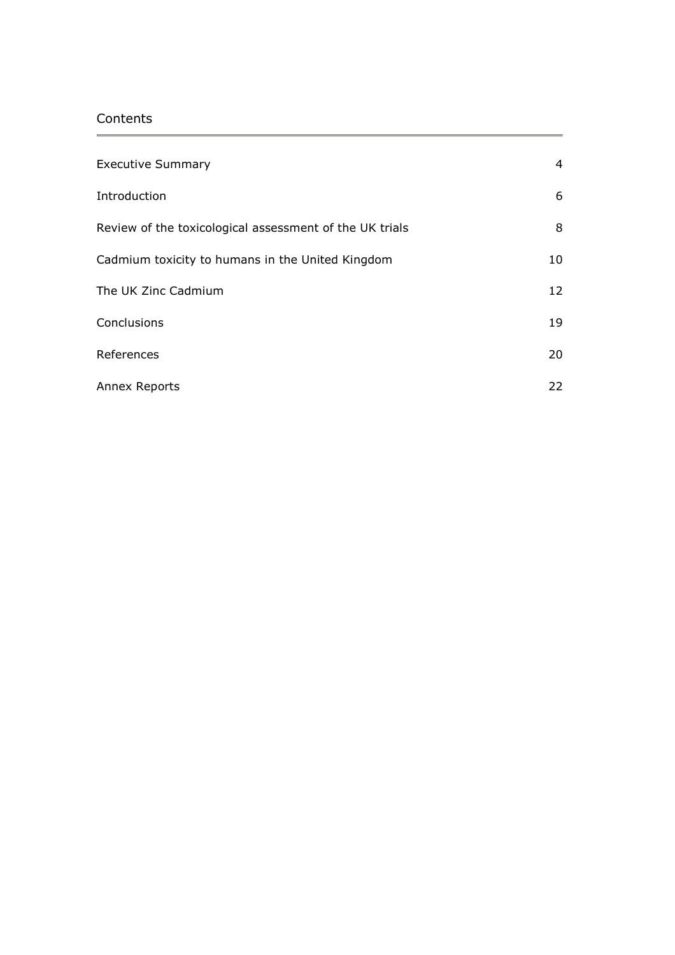# **Contents**

| <b>Executive Summary</b>                                | $\overline{4}$ |
|---------------------------------------------------------|----------------|
| Introduction                                            | 6              |
| Review of the toxicological assessment of the UK trials | 8              |
| Cadmium toxicity to humans in the United Kingdom        | 10             |
| The UK Zinc Cadmium                                     | 12             |
| Conclusions                                             | 19             |
| References                                              | 20             |
| Annex Reports                                           | 22             |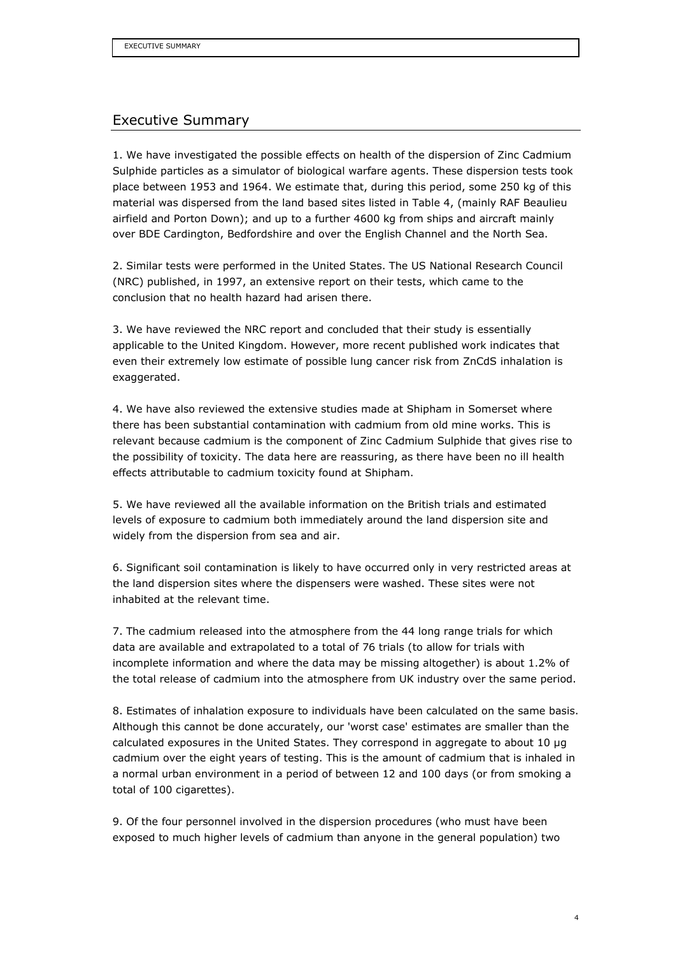# Executive Summary

1. We have investigated the possible effects on health of the dispersion of Zinc Cadmium Sulphide particles as a simulator of biological warfare agents. These dispersion tests took place between 1953 and 1964. We estimate that, during this period, some 250 kg of this material was dispersed from the land based sites listed in Table 4, (mainly RAF Beaulieu airfield and Porton Down); and up to a further 4600 kg from ships and aircraft mainly over BDE Cardington, Bedfordshire and over the English Channel and the North Sea.

2. Similar tests were performed in the United States. The US National Research Council (NRC) published, in 1997, an extensive report on their tests, which came to the conclusion that no health hazard had arisen there.

3. We have reviewed the NRC report and concluded that their study is essentially applicable to the United Kingdom. However, more recent published work indicates that even their extremely low estimate of possible lung cancer risk from ZnCdS inhalation is exaggerated.

4. We have also reviewed the extensive studies made at Shipham in Somerset where there has been substantial contamination with cadmium from old mine works. This is relevant because cadmium is the component of Zinc Cadmium Sulphide that gives rise to the possibility of toxicity. The data here are reassuring, as there have been no ill health effects attributable to cadmium toxicity found at Shipham.

5. We have reviewed all the available information on the British trials and estimated levels of exposure to cadmium both immediately around the land dispersion site and widely from the dispersion from sea and air.

6. Significant soil contamination is likely to have occurred only in very restricted areas at the land dispersion sites where the dispensers were washed. These sites were not inhabited at the relevant time.

7. The cadmium released into the atmosphere from the 44 long range trials for which data are available and extrapolated to a total of 76 trials (to allow for trials with incomplete information and where the data may be missing altogether) is about 1.2% of the total release of cadmium into the atmosphere from UK industry over the same period.

8. Estimates of inhalation exposure to individuals have been calculated on the same basis. Although this cannot be done accurately, our 'worst case' estimates are smaller than the calculated exposures in the United States. They correspond in aggregate to about 10 µg cadmium over the eight years of testing. This is the amount of cadmium that is inhaled in a normal urban environment in a period of between 12 and 100 days (or from smoking a total of 100 cigarettes).

9. Of the four personnel involved in the dispersion procedures (who must have been exposed to much higher levels of cadmium than anyone in the general population) two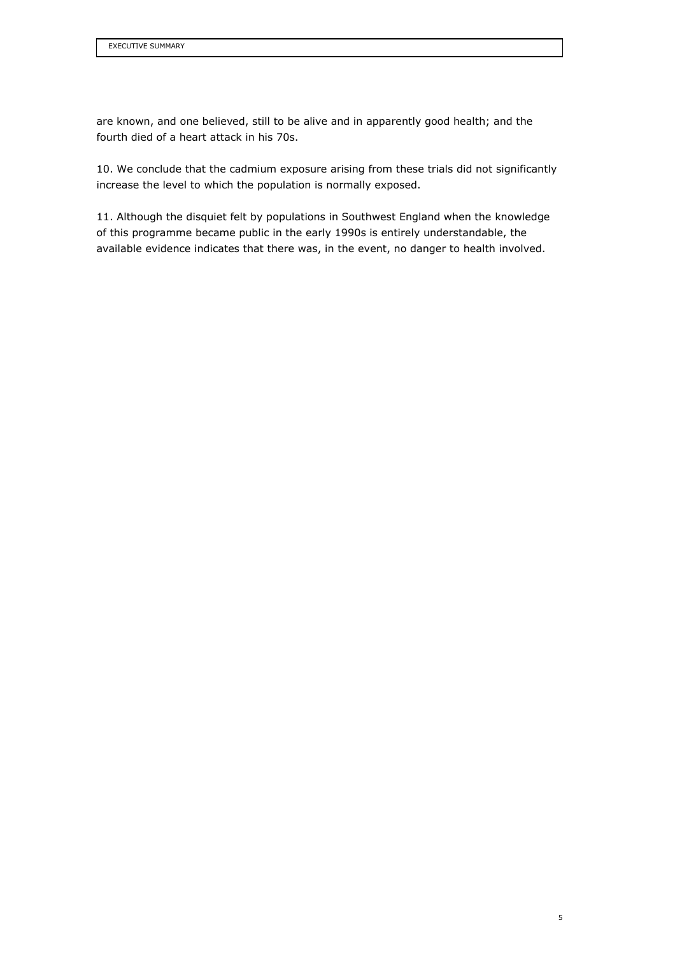are known, and one believed, still to be alive and in apparently good health; and the fourth died of a heart attack in his 70s.

10. We conclude that the cadmium exposure arising from these trials did not significantly increase the level to which the population is normally exposed.

11. Although the disquiet felt by populations in Southwest England when the knowledge of this programme became public in the early 1990s is entirely understandable, the available evidence indicates that there was, in the event, no danger to health involved.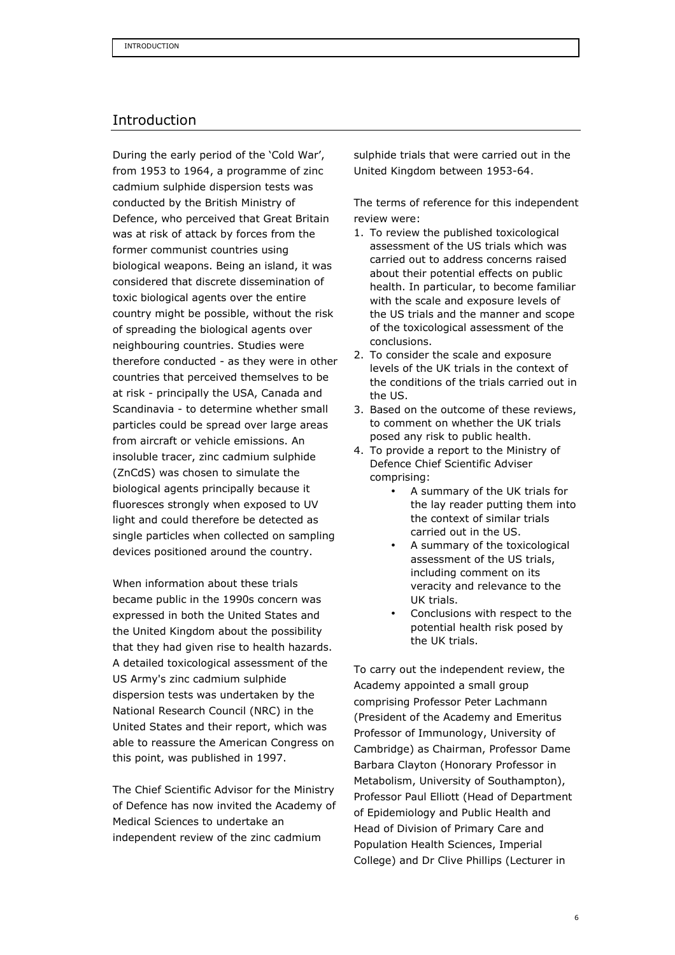## Introduction

During the early period of the 'Cold War', from 1953 to 1964, a programme of zinc cadmium sulphide dispersion tests was conducted by the British Ministry of Defence, who perceived that Great Britain was at risk of attack by forces from the former communist countries using biological weapons. Being an island, it was considered that discrete dissemination of toxic biological agents over the entire country might be possible, without the risk of spreading the biological agents over neighbouring countries. Studies were therefore conducted - as they were in other countries that perceived themselves to be at risk - principally the USA, Canada and Scandinavia - to determine whether small particles could be spread over large areas from aircraft or vehicle emissions. An insoluble tracer, zinc cadmium sulphide (ZnCdS) was chosen to simulate the biological agents principally because it fluoresces strongly when exposed to UV light and could therefore be detected as single particles when collected on sampling devices positioned around the country.

When information about these trials became public in the 1990s concern was expressed in both the United States and the United Kingdom about the possibility that they had given rise to health hazards. A detailed toxicological assessment of the US Army's zinc cadmium sulphide dispersion tests was undertaken by the National Research Council (NRC) in the United States and their report, which was able to reassure the American Congress on this point, was published in 1997.

The Chief Scientific Advisor for the Ministry of Defence has now invited the Academy of Medical Sciences to undertake an independent review of the zinc cadmium

sulphide trials that were carried out in the United Kingdom between 1953-64.

The terms of reference for this independent review were:

- 1. To review the published toxicological assessment of the US trials which was carried out to address concerns raised about their potential effects on public health. In particular, to become familiar with the scale and exposure levels of the US trials and the manner and scope of the toxicological assessment of the conclusions.
- 2. To consider the scale and exposure levels of the UK trials in the context of the conditions of the trials carried out in the US.
- 3. Based on the outcome of these reviews, to comment on whether the UK trials posed any risk to public health.
- 4. To provide a report to the Ministry of Defence Chief Scientific Adviser comprising:
	- A summary of the UK trials for the lay reader putting them into the context of similar trials carried out in the US.
	- A summary of the toxicological assessment of the US trials, including comment on its veracity and relevance to the UK trials.
	- Conclusions with respect to the potential health risk posed by the UK trials.

To carry out the independent review, the Academy appointed a small group comprising Professor Peter Lachmann (President of the Academy and Emeritus Professor of Immunology, University of Cambridge) as Chairman, Professor Dame Barbara Clayton (Honorary Professor in Metabolism, University of Southampton), Professor Paul Elliott (Head of Department of Epidemiology and Public Health and Head of Division of Primary Care and Population Health Sciences, Imperial College) and Dr Clive Phillips (Lecturer in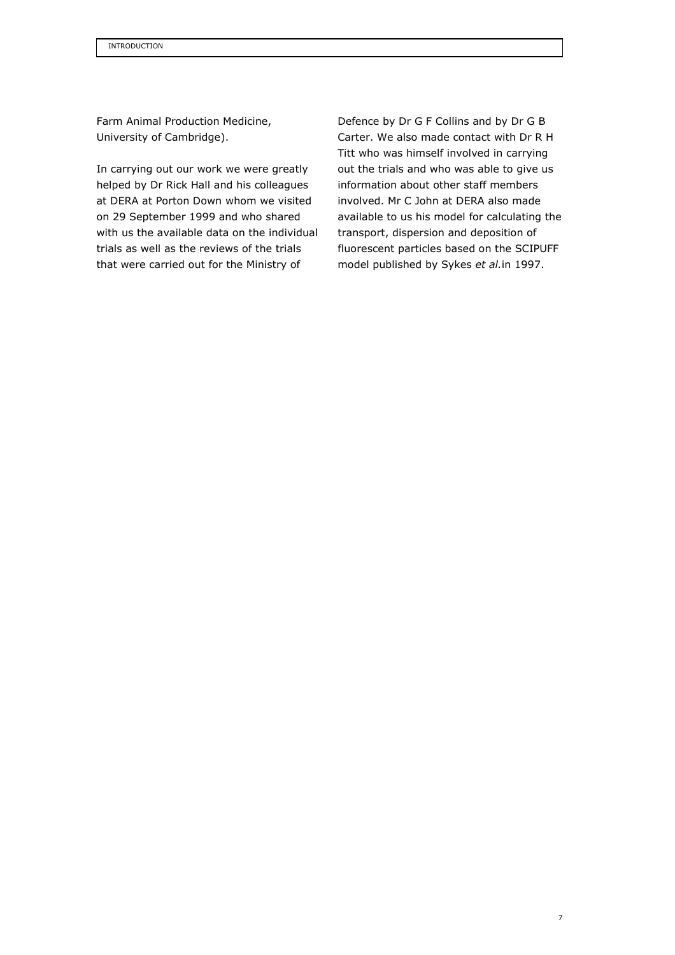Farm Animal Production Medicine, University of Cambridge).

In carrying out our work we were greatly helped by Dr Rick Hall and his colleagues at DERA at Porton Down whom we visited on 29 September 1999 and who shared with us the available data on the individual trials as well as the reviews of the trials that were carried out for the Ministry of

Defence by Dr G F Collins and by Dr G B Carter. We also made contact with Dr R H Titt who was himself involved in carrying out the trials and who was able to give us information about other staff members involved. Mr C John at DERA also made available to us his model for calculating the transport, dispersion and deposition of fluorescent particles based on the SCIPUFF model published by Sykes et al.in 1997.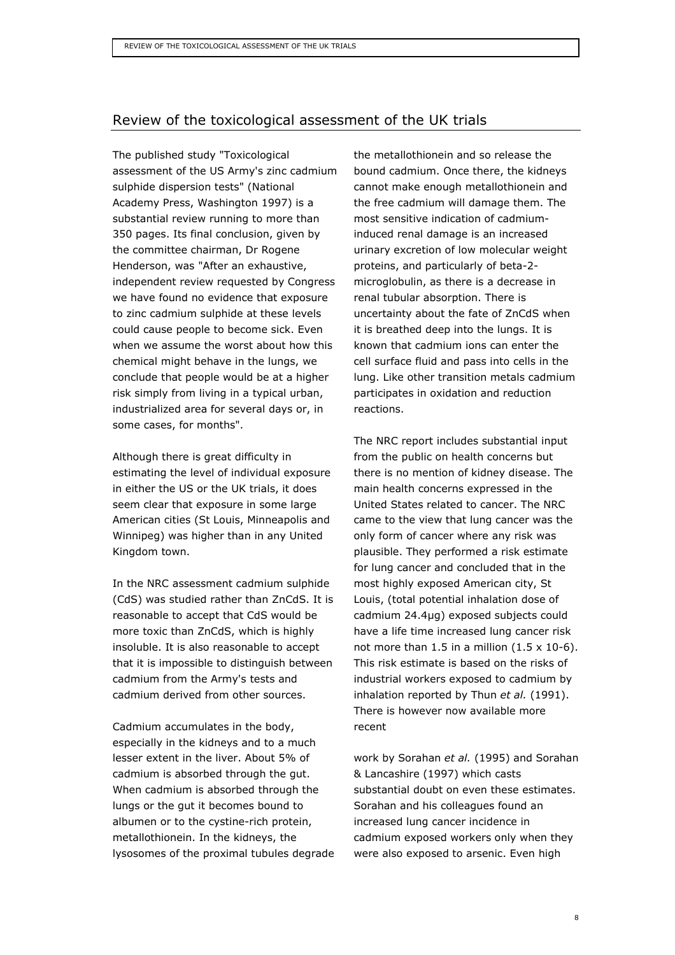## Review of the toxicological assessment of the UK trials

The published study "Toxicological assessment of the US Army's zinc cadmium sulphide dispersion tests" (National Academy Press, Washington 1997) is a substantial review running to more than 350 pages. Its final conclusion, given by the committee chairman, Dr Rogene Henderson, was "After an exhaustive, independent review requested by Congress we have found no evidence that exposure to zinc cadmium sulphide at these levels could cause people to become sick. Even when we assume the worst about how this chemical might behave in the lungs, we conclude that people would be at a higher risk simply from living in a typical urban, industrialized area for several days or, in some cases, for months".

Although there is great difficulty in estimating the level of individual exposure in either the US or the UK trials, it does seem clear that exposure in some large American cities (St Louis, Minneapolis and Winnipeg) was higher than in any United Kingdom town.

In the NRC assessment cadmium sulphide (CdS) was studied rather than ZnCdS. It is reasonable to accept that CdS would be more toxic than ZnCdS, which is highly insoluble. It is also reasonable to accept that it is impossible to distinguish between cadmium from the Army's tests and cadmium derived from other sources.

Cadmium accumulates in the body, especially in the kidneys and to a much lesser extent in the liver. About 5% of cadmium is absorbed through the gut. When cadmium is absorbed through the lungs or the gut it becomes bound to albumen or to the cystine-rich protein, metallothionein. In the kidneys, the lysosomes of the proximal tubules degrade the metallothionein and so release the bound cadmium. Once there, the kidneys cannot make enough metallothionein and the free cadmium will damage them. The most sensitive indication of cadmiuminduced renal damage is an increased urinary excretion of low molecular weight proteins, and particularly of beta-2 microglobulin, as there is a decrease in renal tubular absorption. There is uncertainty about the fate of ZnCdS when it is breathed deep into the lungs. It is known that cadmium ions can enter the cell surface fluid and pass into cells in the lung. Like other transition metals cadmium participates in oxidation and reduction reactions.

The NRC report includes substantial input from the public on health concerns but there is no mention of kidney disease. The main health concerns expressed in the United States related to cancer. The NRC came to the view that lung cancer was the only form of cancer where any risk was plausible. They performed a risk estimate for lung cancer and concluded that in the most highly exposed American city, St Louis, (total potential inhalation dose of cadmium 24.4µg) exposed subjects could have a life time increased lung cancer risk not more than 1.5 in a million  $(1.5 \times 10^{-6})$ . This risk estimate is based on the risks of industrial workers exposed to cadmium by inhalation reported by Thun et al. (1991). There is however now available more recent

work by Sorahan et al. (1995) and Sorahan & Lancashire (1997) which casts substantial doubt on even these estimates. Sorahan and his colleagues found an increased lung cancer incidence in cadmium exposed workers only when they were also exposed to arsenic. Even high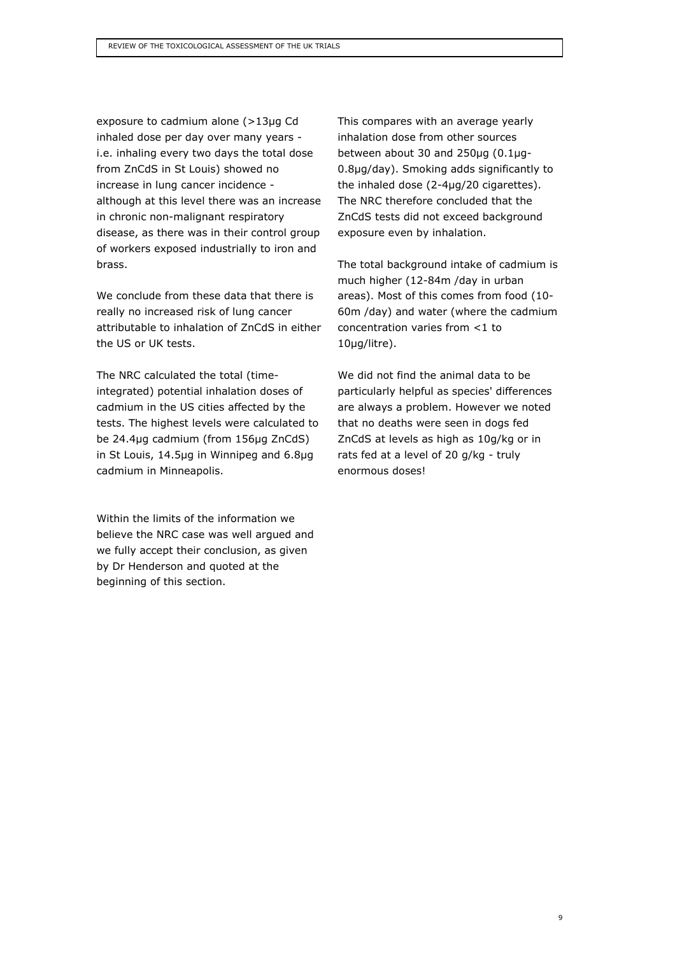exposure to cadmium alone (>13µg Cd inhaled dose per day over many years i.e. inhaling every two days the total dose from ZnCdS in St Louis) showed no increase in lung cancer incidence although at this level there was an increase in chronic non-malignant respiratory disease, as there was in their control group of workers exposed industrially to iron and brass.

We conclude from these data that there is really no increased risk of lung cancer attributable to inhalation of ZnCdS in either the US or UK tests.

The NRC calculated the total (timeintegrated) potential inhalation doses of cadmium in the US cities affected by the tests. The highest levels were calculated to be 24.4µg cadmium (from 156µg ZnCdS) in St Louis, 14.5µg in Winnipeg and 6.8µg cadmium in Minneapolis.

Within the limits of the information we believe the NRC case was well argued and we fully accept their conclusion, as given by Dr Henderson and quoted at the beginning of this section.

This compares with an average yearly inhalation dose from other sources between about 30 and 250µg (0.1µg-0.8µg/day). Smoking adds significantly to the inhaled dose (2-4µg/20 cigarettes). The NRC therefore concluded that the ZnCdS tests did not exceed background exposure even by inhalation.

The total background intake of cadmium is much higher (12-84m /day in urban areas). Most of this comes from food (10- 60m /day) and water (where the cadmium concentration varies from <1 to 10µg/litre).

We did not find the animal data to be particularly helpful as species' differences are always a problem. However we noted that no deaths were seen in dogs fed ZnCdS at levels as high as 10g/kg or in rats fed at a level of 20 g/kg - truly enormous doses!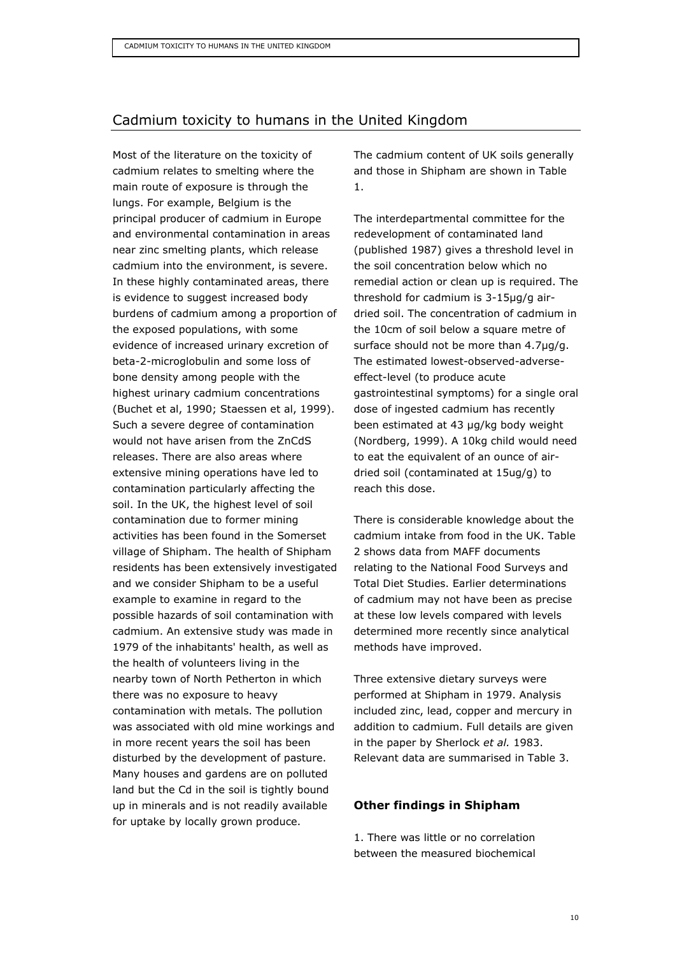# Cadmium toxicity to humans in the United Kingdom

Most of the literature on the toxicity of cadmium relates to smelting where the main route of exposure is through the lungs. For example, Belgium is the principal producer of cadmium in Europe and environmental contamination in areas near zinc smelting plants, which release cadmium into the environment, is severe. In these highly contaminated areas, there is evidence to suggest increased body burdens of cadmium among a proportion of the exposed populations, with some evidence of increased urinary excretion of beta-2-microglobulin and some loss of bone density among people with the highest urinary cadmium concentrations (Buchet et al, 1990; Staessen et al, 1999). Such a severe degree of contamination would not have arisen from the ZnCdS releases. There are also areas where extensive mining operations have led to contamination particularly affecting the soil. In the UK, the highest level of soil contamination due to former mining activities has been found in the Somerset village of Shipham. The health of Shipham residents has been extensively investigated and we consider Shipham to be a useful example to examine in regard to the possible hazards of soil contamination with cadmium. An extensive study was made in 1979 of the inhabitants' health, as well as the health of volunteers living in the nearby town of North Petherton in which there was no exposure to heavy contamination with metals. The pollution was associated with old mine workings and in more recent years the soil has been disturbed by the development of pasture. Many houses and gardens are on polluted land but the Cd in the soil is tightly bound up in minerals and is not readily available for uptake by locally grown produce.

The cadmium content of UK soils generally and those in Shipham are shown in Table 1.

The interdepartmental committee for the redevelopment of contaminated land (published 1987) gives a threshold level in the soil concentration below which no remedial action or clean up is required. The threshold for cadmium is 3-15µg/g airdried soil. The concentration of cadmium in the 10cm of soil below a square metre of surface should not be more than 4.7µg/g. The estimated lowest-observed-adverseeffect-level (to produce acute gastrointestinal symptoms) for a single oral dose of ingested cadmium has recently been estimated at 43 µg/kg body weight (Nordberg, 1999). A 10kg child would need to eat the equivalent of an ounce of airdried soil (contaminated at 15ug/g) to reach this dose.

There is considerable knowledge about the cadmium intake from food in the UK. Table 2 shows data from MAFF documents relating to the National Food Surveys and Total Diet Studies. Earlier determinations of cadmium may not have been as precise at these low levels compared with levels determined more recently since analytical methods have improved.

Three extensive dietary surveys were performed at Shipham in 1979. Analysis included zinc, lead, copper and mercury in addition to cadmium. Full details are given in the paper by Sherlock et al. 1983. Relevant data are summarised in Table 3.

## Other findings in Shipham

1. There was little or no correlation between the measured biochemical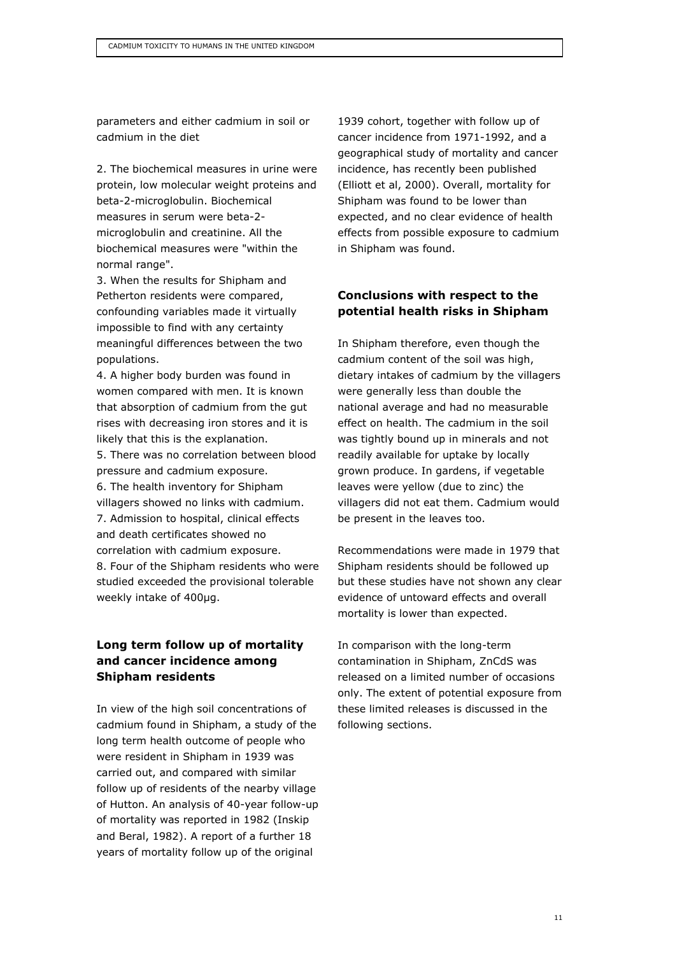parameters and either cadmium in soil or cadmium in the diet

2. The biochemical measures in urine were protein, low molecular weight proteins and beta-2-microglobulin. Biochemical measures in serum were beta-2 microglobulin and creatinine. All the biochemical measures were "within the normal range".

3. When the results for Shipham and Petherton residents were compared, confounding variables made it virtually impossible to find with any certainty meaningful differences between the two populations.

4. A higher body burden was found in women compared with men. It is known that absorption of cadmium from the gut rises with decreasing iron stores and it is likely that this is the explanation. 5. There was no correlation between blood pressure and cadmium exposure. 6. The health inventory for Shipham villagers showed no links with cadmium. 7. Admission to hospital, clinical effects and death certificates showed no correlation with cadmium exposure. 8. Four of the Shipham residents who were studied exceeded the provisional tolerable weekly intake of 400µg.

## Long term follow up of mortality and cancer incidence among Shipham residents

In view of the high soil concentrations of cadmium found in Shipham, a study of the long term health outcome of people who were resident in Shipham in 1939 was carried out, and compared with similar follow up of residents of the nearby village of Hutton. An analysis of 40-year follow-up of mortality was reported in 1982 (Inskip and Beral, 1982). A report of a further 18 years of mortality follow up of the original

1939 cohort, together with follow up of cancer incidence from 1971-1992, and a geographical study of mortality and cancer incidence, has recently been published (Elliott et al, 2000). Overall, mortality for Shipham was found to be lower than expected, and no clear evidence of health effects from possible exposure to cadmium in Shipham was found.

#### Conclusions with respect to the potential health risks in Shipham

In Shipham therefore, even though the cadmium content of the soil was high, dietary intakes of cadmium by the villagers were generally less than double the national average and had no measurable effect on health. The cadmium in the soil was tightly bound up in minerals and not readily available for uptake by locally grown produce. In gardens, if vegetable leaves were yellow (due to zinc) the villagers did not eat them. Cadmium would be present in the leaves too.

Recommendations were made in 1979 that Shipham residents should be followed up but these studies have not shown any clear evidence of untoward effects and overall mortality is lower than expected.

In comparison with the long-term contamination in Shipham, ZnCdS was released on a limited number of occasions only. The extent of potential exposure from these limited releases is discussed in the following sections.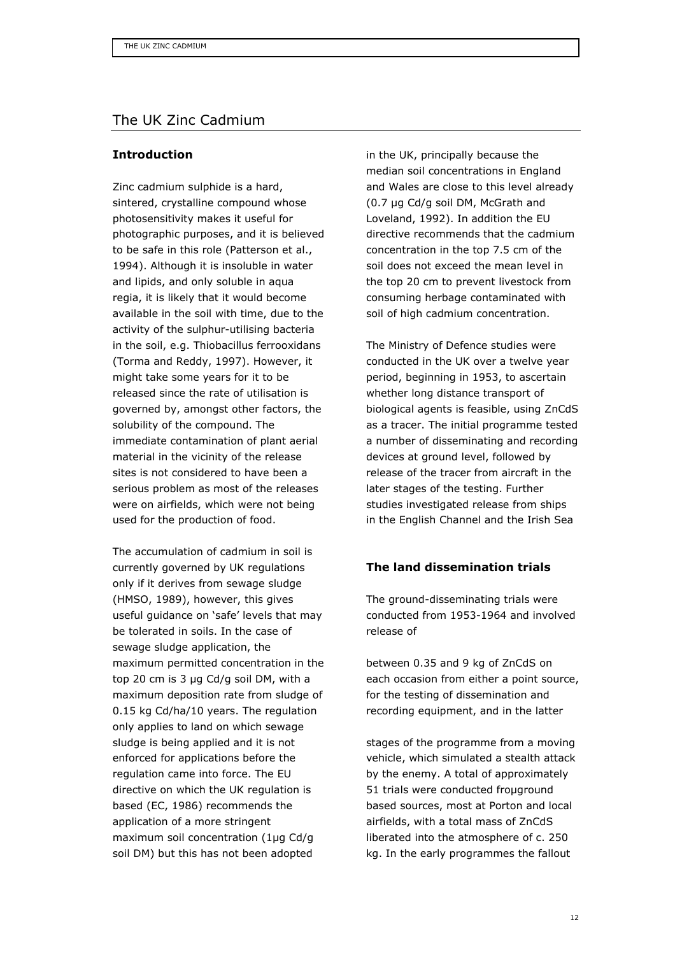# The UK Zinc Cadmium

#### Introduction

Zinc cadmium sulphide is a hard, sintered, crystalline compound whose photosensitivity makes it useful for photographic purposes, and it is believed to be safe in this role (Patterson et al., 1994). Although it is insoluble in water and lipids, and only soluble in aqua regia, it is likely that it would become available in the soil with time, due to the activity of the sulphur-utilising bacteria in the soil, e.g. Thiobacillus ferrooxidans (Torma and Reddy, 1997). However, it might take some years for it to be released since the rate of utilisation is governed by, amongst other factors, the solubility of the compound. The immediate contamination of plant aerial material in the vicinity of the release sites is not considered to have been a serious problem as most of the releases were on airfields, which were not being used for the production of food.

The accumulation of cadmium in soil is currently governed by UK regulations only if it derives from sewage sludge (HMSO, 1989), however, this gives useful guidance on 'safe' levels that may be tolerated in soils. In the case of sewage sludge application, the maximum permitted concentration in the top 20 cm is 3 µg Cd/g soil DM, with a maximum deposition rate from sludge of 0.15 kg Cd/ha/10 years. The regulation only applies to land on which sewage sludge is being applied and it is not enforced for applications before the regulation came into force. The EU directive on which the UK regulation is based (EC, 1986) recommends the application of a more stringent maximum soil concentration (1µg Cd/g soil DM) but this has not been adopted

in the UK, principally because the median soil concentrations in England and Wales are close to this level already (0.7 µg Cd/g soil DM, McGrath and Loveland, 1992). In addition the EU directive recommends that the cadmium concentration in the top 7.5 cm of the soil does not exceed the mean level in the top 20 cm to prevent livestock from consuming herbage contaminated with soil of high cadmium concentration.

The Ministry of Defence studies were conducted in the UK over a twelve year period, beginning in 1953, to ascertain whether long distance transport of biological agents is feasible, using ZnCdS as a tracer. The initial programme tested a number of disseminating and recording devices at ground level, followed by release of the tracer from aircraft in the later stages of the testing. Further studies investigated release from ships in the English Channel and the Irish Sea

## The land dissemination trials

The ground-disseminating trials were conducted from 1953-1964 and involved release of

between 0.35 and 9 kg of ZnCdS on each occasion from either a point source, for the testing of dissemination and recording equipment, and in the latter

stages of the programme from a moving vehicle, which simulated a stealth attack by the enemy. A total of approximately 51 trials were conducted froµground based sources, most at Porton and local airfields, with a total mass of ZnCdS liberated into the atmosphere of c. 250 kg. In the early programmes the fallout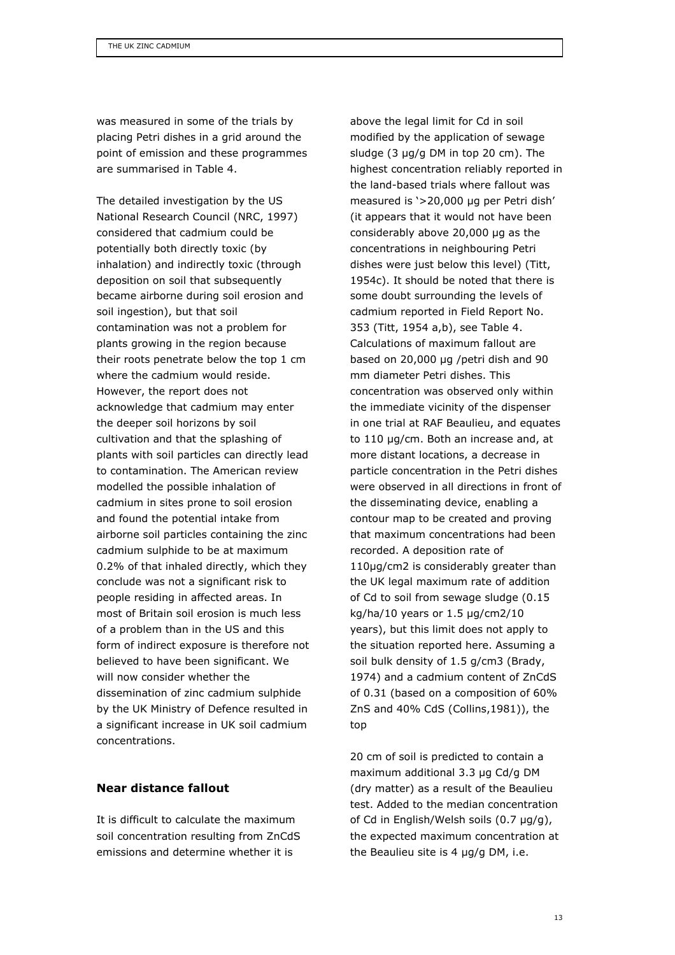was measured in some of the trials by placing Petri dishes in a grid around the point of emission and these programmes are summarised in Table 4.

The detailed investigation by the US National Research Council (NRC, 1997) considered that cadmium could be potentially both directly toxic (by inhalation) and indirectly toxic (through deposition on soil that subsequently became airborne during soil erosion and soil ingestion), but that soil contamination was not a problem for plants growing in the region because their roots penetrate below the top 1 cm where the cadmium would reside. However, the report does not acknowledge that cadmium may enter the deeper soil horizons by soil cultivation and that the splashing of plants with soil particles can directly lead to contamination. The American review modelled the possible inhalation of cadmium in sites prone to soil erosion and found the potential intake from airborne soil particles containing the zinc cadmium sulphide to be at maximum 0.2% of that inhaled directly, which they conclude was not a significant risk to people residing in affected areas. In most of Britain soil erosion is much less of a problem than in the US and this form of indirect exposure is therefore not believed to have been significant. We will now consider whether the dissemination of zinc cadmium sulphide by the UK Ministry of Defence resulted in a significant increase in UK soil cadmium concentrations.

#### Near distance fallout

It is difficult to calculate the maximum soil concentration resulting from ZnCdS emissions and determine whether it is

above the legal limit for Cd in soil modified by the application of sewage sludge (3 µg/g DM in top 20 cm). The highest concentration reliably reported in the land-based trials where fallout was measured is '>20,000 µg per Petri dish' (it appears that it would not have been considerably above 20,000 µg as the concentrations in neighbouring Petri dishes were just below this level) (Titt, 1954c). It should be noted that there is some doubt surrounding the levels of cadmium reported in Field Report No. 353 (Titt, 1954 a,b), see Table 4. Calculations of maximum fallout are based on 20,000 µg /petri dish and 90 mm diameter Petri dishes. This concentration was observed only within the immediate vicinity of the dispenser in one trial at RAF Beaulieu, and equates to 110 µg/cm. Both an increase and, at more distant locations, a decrease in particle concentration in the Petri dishes were observed in all directions in front of the disseminating device, enabling a contour map to be created and proving that maximum concentrations had been recorded. A deposition rate of 110µg/cm2 is considerably greater than the UK legal maximum rate of addition of Cd to soil from sewage sludge (0.15 kg/ha/10 years or 1.5 µg/cm2/10 years), but this limit does not apply to the situation reported here. Assuming a soil bulk density of 1.5 g/cm3 (Brady, 1974) and a cadmium content of ZnCdS of 0.31 (based on a composition of 60% ZnS and 40% CdS (Collins,1981)), the top

20 cm of soil is predicted to contain a maximum additional 3.3 µg Cd/g DM (dry matter) as a result of the Beaulieu test. Added to the median concentration of Cd in English/Welsh soils (0.7 µg/g), the expected maximum concentration at the Beaulieu site is 4 µg/g DM, i.e.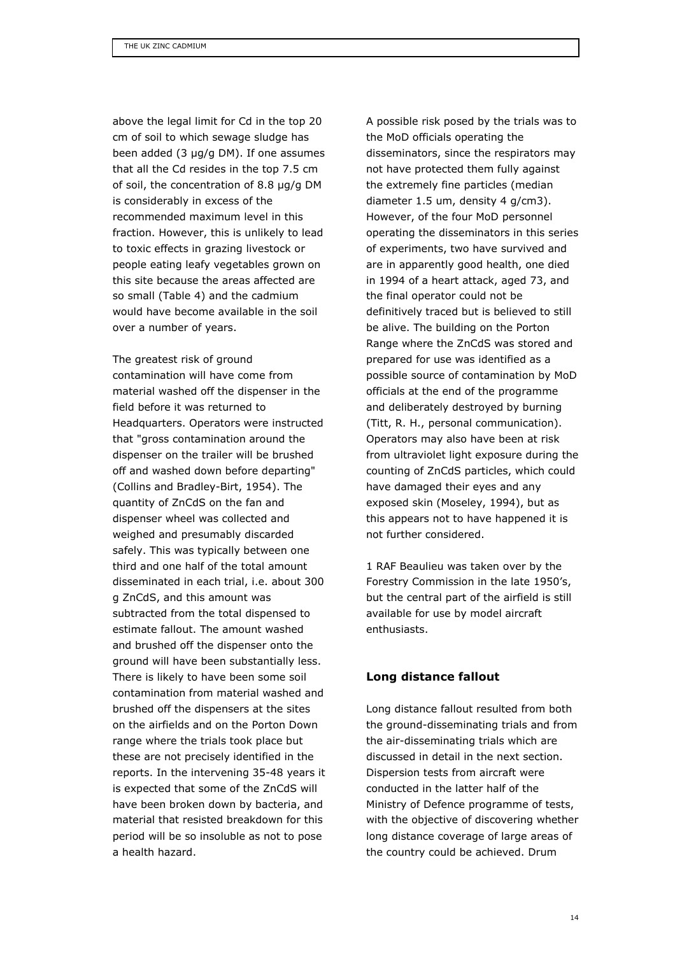above the legal limit for Cd in the top 20 cm of soil to which sewage sludge has been added (3 µg/g DM). If one assumes that all the Cd resides in the top 7.5 cm of soil, the concentration of 8.8 µg/g DM is considerably in excess of the recommended maximum level in this fraction. However, this is unlikely to lead to toxic effects in grazing livestock or people eating leafy vegetables grown on this site because the areas affected are so small (Table 4) and the cadmium would have become available in the soil over a number of years.

The greatest risk of ground contamination will have come from material washed off the dispenser in the field before it was returned to Headquarters. Operators were instructed that "gross contamination around the dispenser on the trailer will be brushed off and washed down before departing" (Collins and Bradley-Birt, 1954). The quantity of ZnCdS on the fan and dispenser wheel was collected and weighed and presumably discarded safely. This was typically between one third and one half of the total amount disseminated in each trial, i.e. about 300 g ZnCdS, and this amount was subtracted from the total dispensed to estimate fallout. The amount washed and brushed off the dispenser onto the ground will have been substantially less. There is likely to have been some soil contamination from material washed and brushed off the dispensers at the sites on the airfields and on the Porton Down range where the trials took place but these are not precisely identified in the reports. In the intervening 35-48 years it is expected that some of the ZnCdS will have been broken down by bacteria, and material that resisted breakdown for this period will be so insoluble as not to pose a health hazard.

A possible risk posed by the trials was to the MoD officials operating the disseminators, since the respirators may not have protected them fully against the extremely fine particles (median diameter 1.5 um, density 4 g/cm3). However, of the four MoD personnel operating the disseminators in this series of experiments, two have survived and are in apparently good health, one died in 1994 of a heart attack, aged 73, and the final operator could not be definitively traced but is believed to still be alive. The building on the Porton Range where the ZnCdS was stored and prepared for use was identified as a possible source of contamination by MoD officials at the end of the programme and deliberately destroyed by burning (Titt, R. H., personal communication). Operators may also have been at risk from ultraviolet light exposure during the counting of ZnCdS particles, which could have damaged their eyes and any exposed skin (Moseley, 1994), but as this appears not to have happened it is not further considered.

1 RAF Beaulieu was taken over by the Forestry Commission in the late 1950's, but the central part of the airfield is still available for use by model aircraft enthusiasts.

#### Long distance fallout

Long distance fallout resulted from both the ground-disseminating trials and from the air-disseminating trials which are discussed in detail in the next section. Dispersion tests from aircraft were conducted in the latter half of the Ministry of Defence programme of tests, with the objective of discovering whether long distance coverage of large areas of the country could be achieved. Drum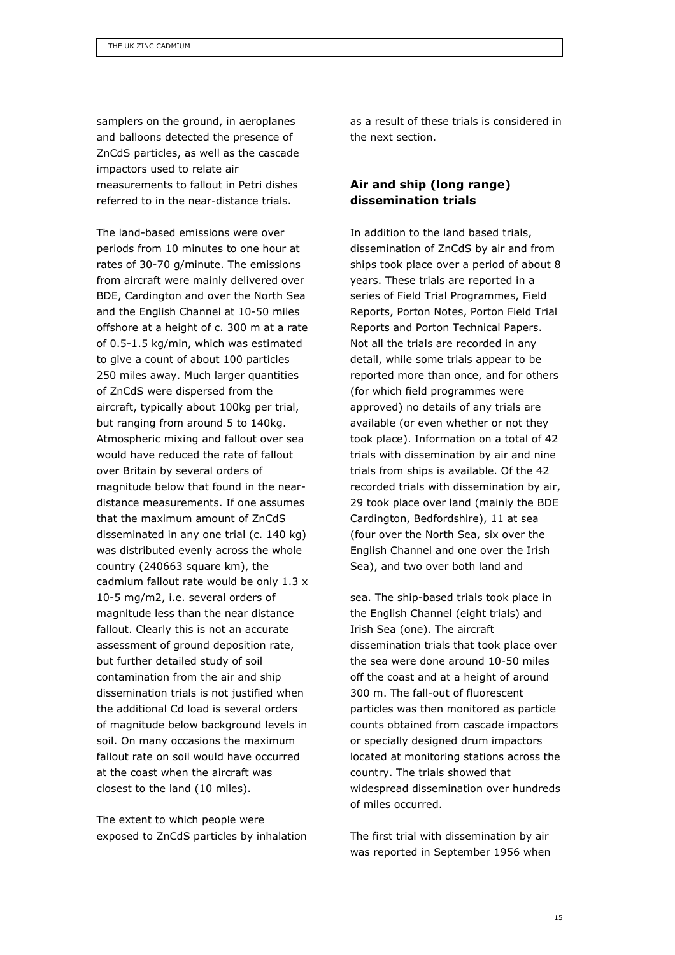samplers on the ground, in aeroplanes and balloons detected the presence of ZnCdS particles, as well as the cascade impactors used to relate air measurements to fallout in Petri dishes referred to in the near-distance trials.

The land-based emissions were over periods from 10 minutes to one hour at rates of 30-70 g/minute. The emissions from aircraft were mainly delivered over BDE, Cardington and over the North Sea and the English Channel at 10-50 miles offshore at a height of c. 300 m at a rate of 0.5-1.5 kg/min, which was estimated to give a count of about 100 particles 250 miles away. Much larger quantities of ZnCdS were dispersed from the aircraft, typically about 100kg per trial, but ranging from around 5 to 140kg. Atmospheric mixing and fallout over sea would have reduced the rate of fallout over Britain by several orders of magnitude below that found in the neardistance measurements. If one assumes that the maximum amount of ZnCdS disseminated in any one trial (c. 140 kg) was distributed evenly across the whole country (240663 square km), the cadmium fallout rate would be only 1.3 x 10-5 mg/m2, i.e. several orders of magnitude less than the near distance fallout. Clearly this is not an accurate assessment of ground deposition rate, but further detailed study of soil contamination from the air and ship dissemination trials is not justified when the additional Cd load is several orders of magnitude below background levels in soil. On many occasions the maximum fallout rate on soil would have occurred at the coast when the aircraft was closest to the land (10 miles).

The extent to which people were exposed to ZnCdS particles by inhalation as a result of these trials is considered in the next section.

## Air and ship (long range) dissemination trials

In addition to the land based trials, dissemination of ZnCdS by air and from ships took place over a period of about 8 years. These trials are reported in a series of Field Trial Programmes, Field Reports, Porton Notes, Porton Field Trial Reports and Porton Technical Papers. Not all the trials are recorded in any detail, while some trials appear to be reported more than once, and for others (for which field programmes were approved) no details of any trials are available (or even whether or not they took place). Information on a total of 42 trials with dissemination by air and nine trials from ships is available. Of the 42 recorded trials with dissemination by air, 29 took place over land (mainly the BDE Cardington, Bedfordshire), 11 at sea (four over the North Sea, six over the English Channel and one over the Irish Sea), and two over both land and

sea. The ship-based trials took place in the English Channel (eight trials) and Irish Sea (one). The aircraft dissemination trials that took place over the sea were done around 10-50 miles off the coast and at a height of around 300 m. The fall-out of fluorescent particles was then monitored as particle counts obtained from cascade impactors or specially designed drum impactors located at monitoring stations across the country. The trials showed that widespread dissemination over hundreds of miles occurred.

The first trial with dissemination by air was reported in September 1956 when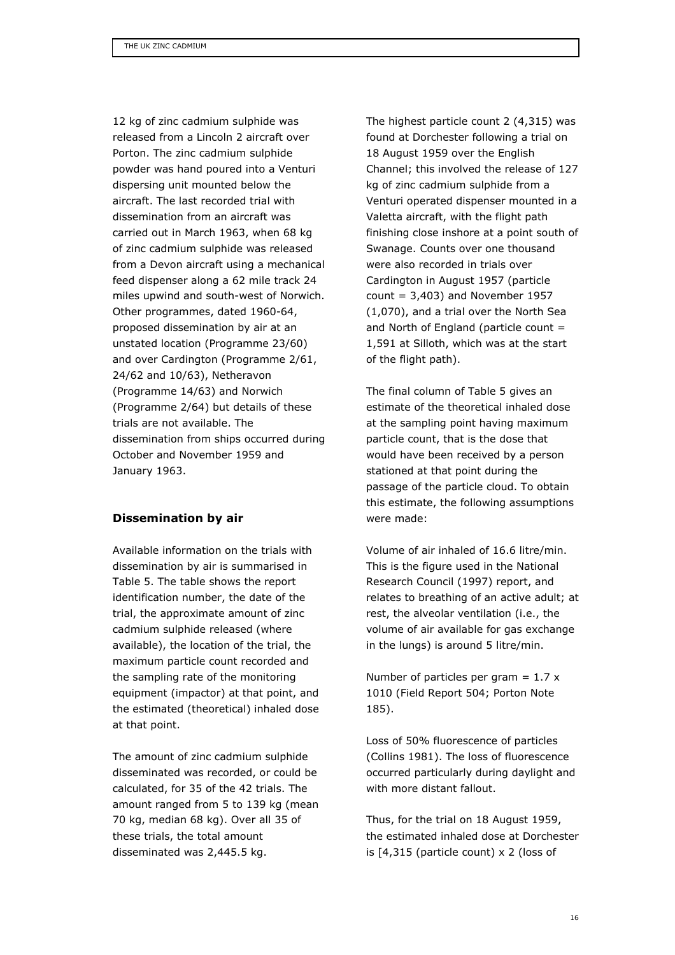12 kg of zinc cadmium sulphide was released from a Lincoln 2 aircraft over Porton. The zinc cadmium sulphide powder was hand poured into a Venturi dispersing unit mounted below the aircraft. The last recorded trial with dissemination from an aircraft was carried out in March 1963, when 68 kg of zinc cadmium sulphide was released from a Devon aircraft using a mechanical feed dispenser along a 62 mile track 24 miles upwind and south-west of Norwich. Other programmes, dated 1960-64, proposed dissemination by air at an unstated location (Programme 23/60) and over Cardington (Programme 2/61, 24/62 and 10/63), Netheravon (Programme 14/63) and Norwich (Programme 2/64) but details of these trials are not available. The dissemination from ships occurred during October and November 1959 and January 1963.

#### Dissemination by air

Available information on the trials with dissemination by air is summarised in Table 5. The table shows the report identification number, the date of the trial, the approximate amount of zinc cadmium sulphide released (where available), the location of the trial, the maximum particle count recorded and the sampling rate of the monitoring equipment (impactor) at that point, and the estimated (theoretical) inhaled dose at that point.

The amount of zinc cadmium sulphide disseminated was recorded, or could be calculated, for 35 of the 42 trials. The amount ranged from 5 to 139 kg (mean 70 kg, median 68 kg). Over all 35 of these trials, the total amount disseminated was 2,445.5 kg.

The highest particle count 2 (4,315) was found at Dorchester following a trial on 18 August 1959 over the English Channel; this involved the release of 127 kg of zinc cadmium sulphide from a Venturi operated dispenser mounted in a Valetta aircraft, with the flight path finishing close inshore at a point south of Swanage. Counts over one thousand were also recorded in trials over Cardington in August 1957 (particle  $count = 3,403$ ) and November 1957 (1,070), and a trial over the North Sea and North of England (particle count = 1,591 at Silloth, which was at the start of the flight path).

The final column of Table 5 gives an estimate of the theoretical inhaled dose at the sampling point having maximum particle count, that is the dose that would have been received by a person stationed at that point during the passage of the particle cloud. To obtain this estimate, the following assumptions were made:

Volume of air inhaled of 16.6 litre/min. This is the figure used in the National Research Council (1997) report, and relates to breathing of an active adult; at rest, the alveolar ventilation (i.e., the volume of air available for gas exchange in the lungs) is around 5 litre/min.

Number of particles per gram  $= 1.7 x$ 1010 (Field Report 504; Porton Note 185).

Loss of 50% fluorescence of particles (Collins 1981). The loss of fluorescence occurred particularly during daylight and with more distant fallout.

Thus, for the trial on 18 August 1959, the estimated inhaled dose at Dorchester is [4,315 (particle count) x 2 (loss of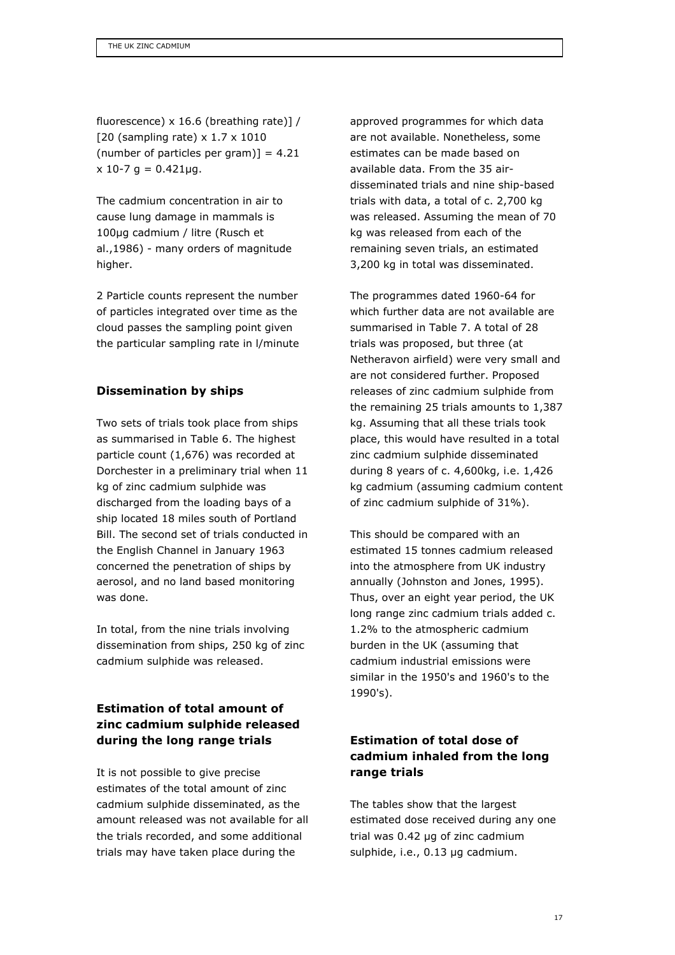fluorescence) x 16.6 (breathing rate)] / [20 (sampling rate) x 1.7 x 1010 (number of particles per gram)] =  $4.21$  $x 10-7$  g = 0.421ug.

The cadmium concentration in air to cause lung damage in mammals is 100µg cadmium / litre (Rusch et al.,1986) - many orders of magnitude higher.

2 Particle counts represent the number of particles integrated over time as the cloud passes the sampling point given the particular sampling rate in l/minute

## Dissemination by ships

Two sets of trials took place from ships as summarised in Table 6. The highest particle count (1,676) was recorded at Dorchester in a preliminary trial when 11 kg of zinc cadmium sulphide was discharged from the loading bays of a ship located 18 miles south of Portland Bill. The second set of trials conducted in the English Channel in January 1963 concerned the penetration of ships by aerosol, and no land based monitoring was done.

In total, from the nine trials involving dissemination from ships, 250 kg of zinc cadmium sulphide was released.

# Estimation of total amount of zinc cadmium sulphide released during the long range trials

It is not possible to give precise estimates of the total amount of zinc cadmium sulphide disseminated, as the amount released was not available for all the trials recorded, and some additional trials may have taken place during the

approved programmes for which data are not available. Nonetheless, some estimates can be made based on available data. From the 35 airdisseminated trials and nine ship-based trials with data, a total of c. 2,700 kg was released. Assuming the mean of 70 kg was released from each of the remaining seven trials, an estimated 3,200 kg in total was disseminated.

The programmes dated 1960-64 for which further data are not available are summarised in Table 7. A total of 28 trials was proposed, but three (at Netheravon airfield) were very small and are not considered further. Proposed releases of zinc cadmium sulphide from the remaining 25 trials amounts to 1,387 kg. Assuming that all these trials took place, this would have resulted in a total zinc cadmium sulphide disseminated during 8 years of c. 4,600kg, i.e. 1,426 kg cadmium (assuming cadmium content of zinc cadmium sulphide of 31%).

This should be compared with an estimated 15 tonnes cadmium released into the atmosphere from UK industry annually (Johnston and Jones, 1995). Thus, over an eight year period, the UK long range zinc cadmium trials added c. 1.2% to the atmospheric cadmium burden in the UK (assuming that cadmium industrial emissions were similar in the 1950's and 1960's to the 1990's).

# Estimation of total dose of cadmium inhaled from the long range trials

The tables show that the largest estimated dose received during any one trial was 0.42 µg of zinc cadmium sulphide, i.e., 0.13 µg cadmium.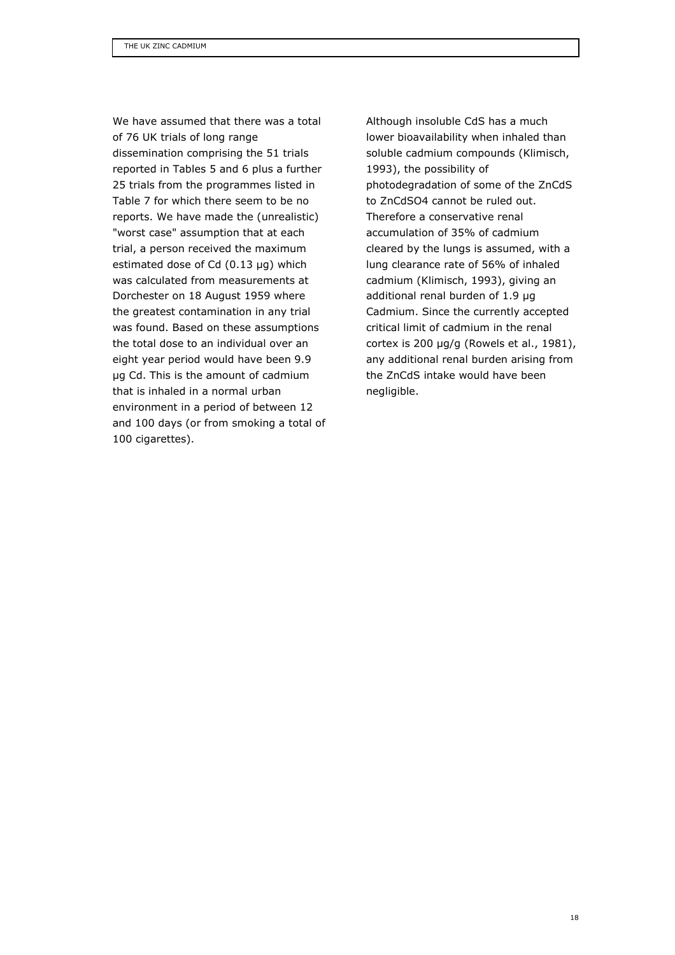We have assumed that there was a total of 76 UK trials of long range dissemination comprising the 51 trials reported in Tables 5 and 6 plus a further 25 trials from the programmes listed in Table 7 for which there seem to be no reports. We have made the (unrealistic) "worst case" assumption that at each trial, a person received the maximum estimated dose of Cd (0.13 µg) which was calculated from measurements at Dorchester on 18 August 1959 where the greatest contamination in any trial was found. Based on these assumptions the total dose to an individual over an eight year period would have been 9.9 µg Cd. This is the amount of cadmium that is inhaled in a normal urban environment in a period of between 12 and 100 days (or from smoking a total of 100 cigarettes).

Although insoluble CdS has a much lower bioavailability when inhaled than soluble cadmium compounds (Klimisch, 1993), the possibility of photodegradation of some of the ZnCdS to ZnCdSO4 cannot be ruled out. Therefore a conservative renal accumulation of 35% of cadmium cleared by the lungs is assumed, with a lung clearance rate of 56% of inhaled cadmium (Klimisch, 1993), giving an additional renal burden of 1.9 µg Cadmium. Since the currently accepted critical limit of cadmium in the renal cortex is 200  $\mu$ g/g (Rowels et al., 1981), any additional renal burden arising from the ZnCdS intake would have been negligible.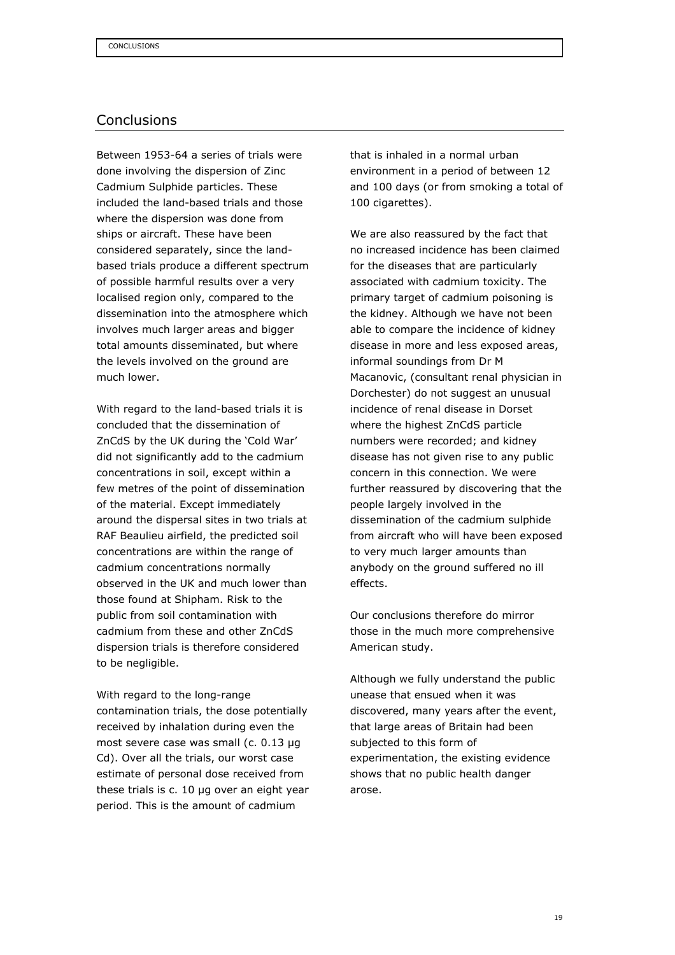## Conclusions

Between 1953-64 a series of trials were done involving the dispersion of Zinc Cadmium Sulphide particles. These included the land-based trials and those where the dispersion was done from ships or aircraft. These have been considered separately, since the landbased trials produce a different spectrum of possible harmful results over a very localised region only, compared to the dissemination into the atmosphere which involves much larger areas and bigger total amounts disseminated, but where the levels involved on the ground are much lower.

With regard to the land-based trials it is concluded that the dissemination of ZnCdS by the UK during the 'Cold War' did not significantly add to the cadmium concentrations in soil, except within a few metres of the point of dissemination of the material. Except immediately around the dispersal sites in two trials at RAF Beaulieu airfield, the predicted soil concentrations are within the range of cadmium concentrations normally observed in the UK and much lower than those found at Shipham. Risk to the public from soil contamination with cadmium from these and other ZnCdS dispersion trials is therefore considered to be negligible.

With regard to the long-range contamination trials, the dose potentially received by inhalation during even the most severe case was small (c. 0.13 µg Cd). Over all the trials, our worst case estimate of personal dose received from these trials is c. 10 µg over an eight year period. This is the amount of cadmium

that is inhaled in a normal urban environment in a period of between 12 and 100 days (or from smoking a total of 100 cigarettes).

We are also reassured by the fact that no increased incidence has been claimed for the diseases that are particularly associated with cadmium toxicity. The primary target of cadmium poisoning is the kidney. Although we have not been able to compare the incidence of kidney disease in more and less exposed areas, informal soundings from Dr M Macanovic, (consultant renal physician in Dorchester) do not suggest an unusual incidence of renal disease in Dorset where the highest ZnCdS particle numbers were recorded; and kidney disease has not given rise to any public concern in this connection. We were further reassured by discovering that the people largely involved in the dissemination of the cadmium sulphide from aircraft who will have been exposed to very much larger amounts than anybody on the ground suffered no ill effects.

Our conclusions therefore do mirror those in the much more comprehensive American study.

Although we fully understand the public unease that ensued when it was discovered, many years after the event, that large areas of Britain had been subjected to this form of experimentation, the existing evidence shows that no public health danger arose.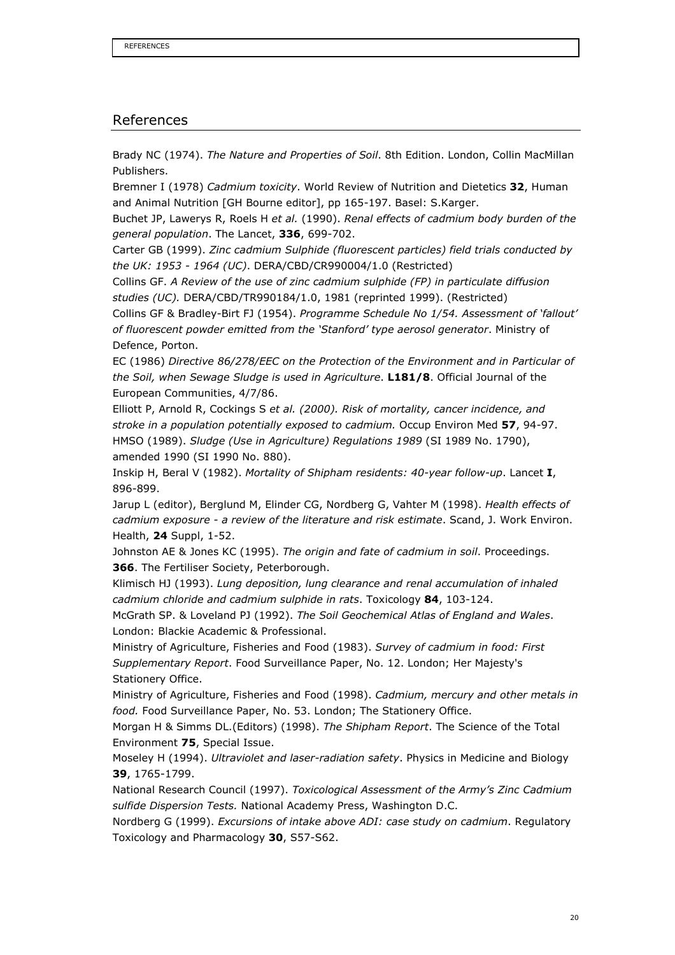#### References

Brady NC (1974). The Nature and Properties of Soil. 8th Edition. London, Collin MacMillan Publishers.

Bremner I (1978) Cadmium toxicity. World Review of Nutrition and Dietetics 32, Human and Animal Nutrition [GH Bourne editor], pp 165-197. Basel: S.Karger.

Buchet JP, Lawerys R, Roels H et al. (1990). Renal effects of cadmium body burden of the general population. The Lancet, 336, 699-702.

Carter GB (1999). Zinc cadmium Sulphide (fluorescent particles) field trials conducted by the UK: 1953 - 1964 (UC). DERA/CBD/CR990004/1.0 (Restricted)

Collins GF. A Review of the use of zinc cadmium sulphide (FP) in particulate diffusion studies (UC). DERA/CBD/TR990184/1.0, 1981 (reprinted 1999). (Restricted)

Collins GF & Bradley-Birt FJ (1954). Programme Schedule No 1/54. Assessment of 'fallout' of fluorescent powder emitted from the 'Stanford' type aerosol generator. Ministry of Defence, Porton.

EC (1986) Directive 86/278/EEC on the Protection of the Environment and in Particular of the Soil, when Sewage Sludge is used in Agriculture. L181/8. Official Journal of the European Communities, 4/7/86.

Elliott P, Arnold R, Cockings S et al. (2000). Risk of mortality, cancer incidence, and stroke in a population potentially exposed to cadmium. Occup Environ Med 57, 94-97. HMSO (1989). Sludge (Use in Agriculture) Regulations 1989 (SI 1989 No. 1790), amended 1990 (SI 1990 No. 880).

Inskip H, Beral V (1982). Mortality of Shipham residents: 40-year follow-up. Lancet I, 896-899.

Jarup L (editor), Berglund M, Elinder CG, Nordberg G, Vahter M (1998). Health effects of cadmium exposure - a review of the literature and risk estimate. Scand, J. Work Environ. Health, 24 Suppl, 1-52.

Johnston AE & Jones KC (1995). The origin and fate of cadmium in soil. Proceedings. 366. The Fertiliser Society, Peterborough.

Klimisch HJ (1993). Lung deposition, lung clearance and renal accumulation of inhaled cadmium chloride and cadmium sulphide in rats. Toxicology 84, 103-124.

McGrath SP. & Loveland PJ (1992). The Soil Geochemical Atlas of England and Wales. London: Blackie Academic & Professional.

Ministry of Agriculture, Fisheries and Food (1983). Survey of cadmium in food: First Supplementary Report. Food Surveillance Paper, No. 12. London; Her Majesty's Stationery Office.

Ministry of Agriculture, Fisheries and Food (1998). Cadmium, mercury and other metals in food. Food Surveillance Paper, No. 53. London; The Stationery Office.

Morgan H & Simms DL.(Editors) (1998). The Shipham Report. The Science of the Total Environment 75, Special Issue.

Moseley H (1994). Ultraviolet and laser-radiation safety. Physics in Medicine and Biology 39, 1765-1799.

National Research Council (1997). Toxicological Assessment of the Army's Zinc Cadmium sulfide Dispersion Tests. National Academy Press, Washington D.C.

Nordberg G (1999). Excursions of intake above ADI: case study on cadmium. Regulatory Toxicology and Pharmacology 30, S57-S62.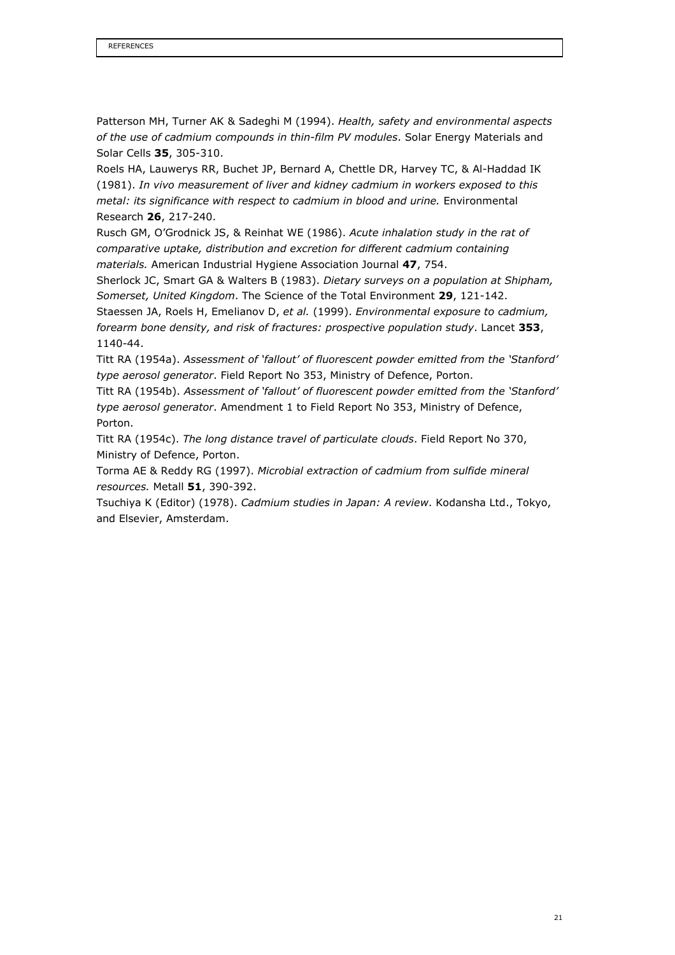Patterson MH, Turner AK & Sadeghi M (1994). Health, safety and environmental aspects of the use of cadmium compounds in thin-film PV modules. Solar Energy Materials and Solar Cells 35, 305-310.

Roels HA, Lauwerys RR, Buchet JP, Bernard A, Chettle DR, Harvey TC, & Al-Haddad IK (1981). In vivo measurement of liver and kidney cadmium in workers exposed to this metal: its significance with respect to cadmium in blood and urine. Environmental Research 26, 217-240.

Rusch GM, O'Grodnick JS, & Reinhat WE (1986). Acute inhalation study in the rat of comparative uptake, distribution and excretion for different cadmium containing materials. American Industrial Hygiene Association Journal 47, 754.

Sherlock JC, Smart GA & Walters B (1983). Dietary surveys on a population at Shipham, Somerset, United Kingdom. The Science of the Total Environment 29, 121-142. Staessen JA, Roels H, Emelianov D, et al. (1999). Environmental exposure to cadmium, forearm bone density, and risk of fractures: prospective population study. Lancet 353, 1140-44.

Titt RA (1954a). Assessment of 'fallout' of fluorescent powder emitted from the 'Stanford' type aerosol generator. Field Report No 353, Ministry of Defence, Porton.

Titt RA (1954b). Assessment of 'fallout' of fluorescent powder emitted from the 'Stanford' type aerosol generator. Amendment 1 to Field Report No 353, Ministry of Defence, Porton.

Titt RA (1954c). The long distance travel of particulate clouds. Field Report No 370, Ministry of Defence, Porton.

Torma AE & Reddy RG (1997). Microbial extraction of cadmium from sulfide mineral resources. Metall 51, 390-392.

Tsuchiya K (Editor) (1978). Cadmium studies in Japan: A review. Kodansha Ltd., Tokyo, and Elsevier, Amsterdam.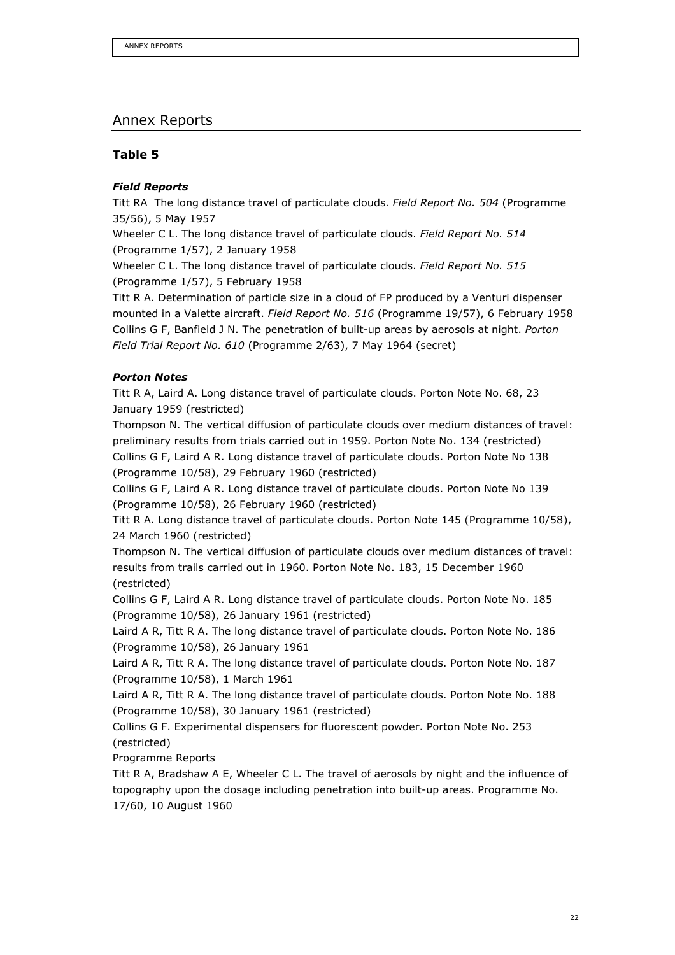## Annex Reports

#### Table 5

#### Field Reports

Titt RA The long distance travel of particulate clouds. Field Report No. 504 (Programme 35/56), 5 May 1957

Wheeler C L. The long distance travel of particulate clouds. Field Report No. 514 (Programme 1/57), 2 January 1958

Wheeler C L. The long distance travel of particulate clouds. Field Report No. 515 (Programme 1/57), 5 February 1958

Titt R A. Determination of particle size in a cloud of FP produced by a Venturi dispenser mounted in a Valette aircraft. Field Report No. 516 (Programme 19/57), 6 February 1958 Collins G F, Banfield J N. The penetration of built-up areas by aerosols at night. Porton Field Trial Report No. 610 (Programme 2/63), 7 May 1964 (secret)

#### Porton Notes

Titt R A, Laird A. Long distance travel of particulate clouds. Porton Note No. 68, 23 January 1959 (restricted)

Thompson N. The vertical diffusion of particulate clouds over medium distances of travel: preliminary results from trials carried out in 1959. Porton Note No. 134 (restricted) Collins G F, Laird A R. Long distance travel of particulate clouds. Porton Note No 138 (Programme 10/58), 29 February 1960 (restricted)

Collins G F, Laird A R. Long distance travel of particulate clouds. Porton Note No 139 (Programme 10/58), 26 February 1960 (restricted)

Titt R A. Long distance travel of particulate clouds. Porton Note 145 (Programme 10/58), 24 March 1960 (restricted)

Thompson N. The vertical diffusion of particulate clouds over medium distances of travel: results from trails carried out in 1960. Porton Note No. 183, 15 December 1960 (restricted)

Collins G F, Laird A R. Long distance travel of particulate clouds. Porton Note No. 185 (Programme 10/58), 26 January 1961 (restricted)

Laird A R, Titt R A. The long distance travel of particulate clouds. Porton Note No. 186 (Programme 10/58), 26 January 1961

Laird A R, Titt R A. The long distance travel of particulate clouds. Porton Note No. 187 (Programme 10/58), 1 March 1961

Laird A R, Titt R A. The long distance travel of particulate clouds. Porton Note No. 188 (Programme 10/58), 30 January 1961 (restricted)

Collins G F. Experimental dispensers for fluorescent powder. Porton Note No. 253 (restricted)

Programme Reports

Titt R A, Bradshaw A E, Wheeler C L. The travel of aerosols by night and the influence of topography upon the dosage including penetration into built-up areas. Programme No. 17/60, 10 August 1960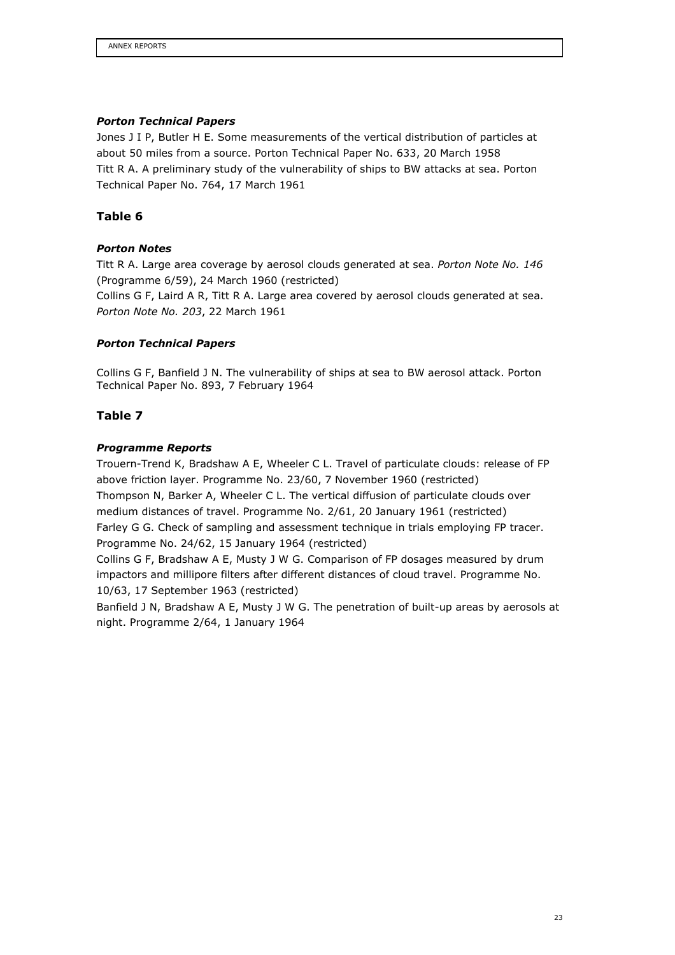#### Porton Technical Papers

Jones J I P, Butler H E. Some measurements of the vertical distribution of particles at about 50 miles from a source. Porton Technical Paper No. 633, 20 March 1958 Titt R A. A preliminary study of the vulnerability of ships to BW attacks at sea. Porton Technical Paper No. 764, 17 March 1961

## Table 6

#### Porton Notes

Titt R A. Large area coverage by aerosol clouds generated at sea. Porton Note No. 146 (Programme 6/59), 24 March 1960 (restricted)

Collins G F, Laird A R, Titt R A. Large area covered by aerosol clouds generated at sea. Porton Note No. 203, 22 March 1961

#### Porton Technical Papers

Collins G F, Banfield J N. The vulnerability of ships at sea to BW aerosol attack. Porton Technical Paper No. 893, 7 February 1964

#### Table 7

#### Programme Reports

Trouern-Trend K, Bradshaw A E, Wheeler C L. Travel of particulate clouds: release of FP above friction layer. Programme No. 23/60, 7 November 1960 (restricted) Thompson N, Barker A, Wheeler C L. The vertical diffusion of particulate clouds over medium distances of travel. Programme No. 2/61, 20 January 1961 (restricted) Farley G G. Check of sampling and assessment technique in trials employing FP tracer. Programme No. 24/62, 15 January 1964 (restricted)

Collins G F, Bradshaw A E, Musty J W G. Comparison of FP dosages measured by drum impactors and millipore filters after different distances of cloud travel. Programme No. 10/63, 17 September 1963 (restricted)

Banfield J N, Bradshaw A E, Musty J W G. The penetration of built-up areas by aerosols at night. Programme 2/64, 1 January 1964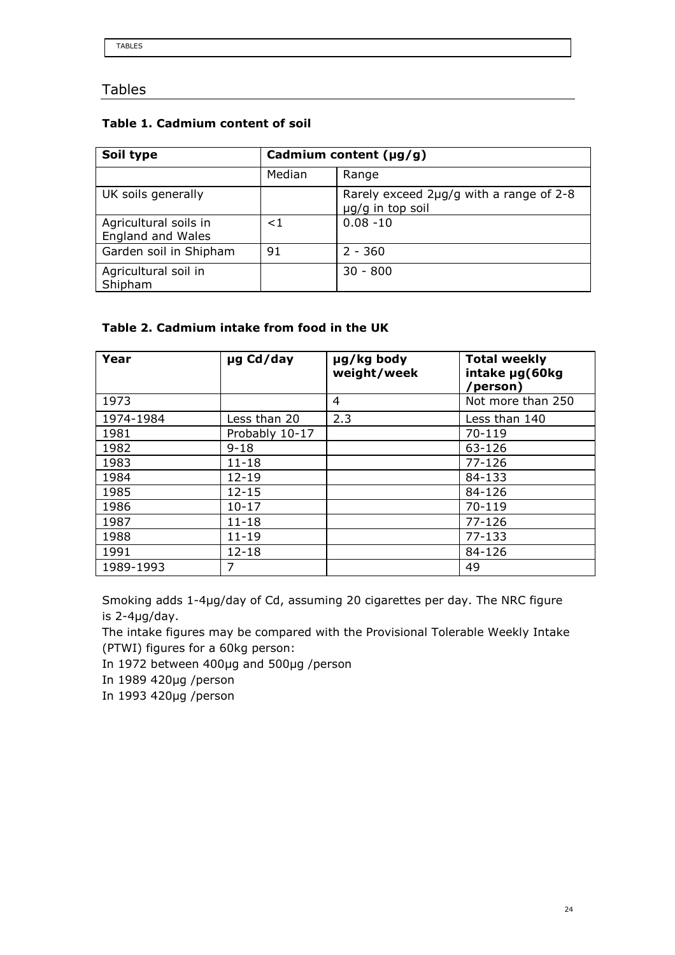# Tables

## Table 1. Cadmium content of soil

| Soil type                                         | Cadmium content $(\mu g/g)$ |                                                             |  |  |
|---------------------------------------------------|-----------------------------|-------------------------------------------------------------|--|--|
|                                                   | Median                      | Range                                                       |  |  |
| UK soils generally                                |                             | Rarely exceed 2µg/g with a range of 2-8<br>µg/g in top soil |  |  |
| Agricultural soils in<br><b>England and Wales</b> | $<$ 1                       | $0.08 - 10$                                                 |  |  |
| Garden soil in Shipham                            | 91                          | $2 - 360$                                                   |  |  |
| Agricultural soil in<br>Shipham                   |                             | $30 - 800$                                                  |  |  |

## Table 2. Cadmium intake from food in the UK

| Year      | µg Cd/day      | µg/kg body<br>weight/week | <b>Total weekly</b><br>intake µg(60kg<br>person) |
|-----------|----------------|---------------------------|--------------------------------------------------|
| 1973      |                | 4                         | Not more than 250                                |
| 1974-1984 | Less than 20   | 2.3                       | Less than 140                                    |
| 1981      | Probably 10-17 |                           | 70-119                                           |
| 1982      | $9 - 18$       |                           | 63-126                                           |
| 1983      | $11 - 18$      |                           | $77 - 126$                                       |
| 1984      | $12 - 19$      |                           | 84-133                                           |
| 1985      | $12 - 15$      |                           | 84-126                                           |
| 1986      | $10 - 17$      |                           | 70-119                                           |
| 1987      | $11 - 18$      |                           | $77 - 126$                                       |
| 1988      | $11 - 19$      |                           | $77 - 133$                                       |
| 1991      | $12 - 18$      |                           | 84-126                                           |
| 1989-1993 | 7              |                           | 49                                               |

Smoking adds 1-4µg/day of Cd, assuming 20 cigarettes per day. The NRC figure is 2-4µg/day.

The intake figures may be compared with the Provisional Tolerable Weekly Intake (PTWI) figures for a 60kg person:

In 1972 between 400µg and 500µg /person

In 1989 420µg /person

In 1993 420µg /person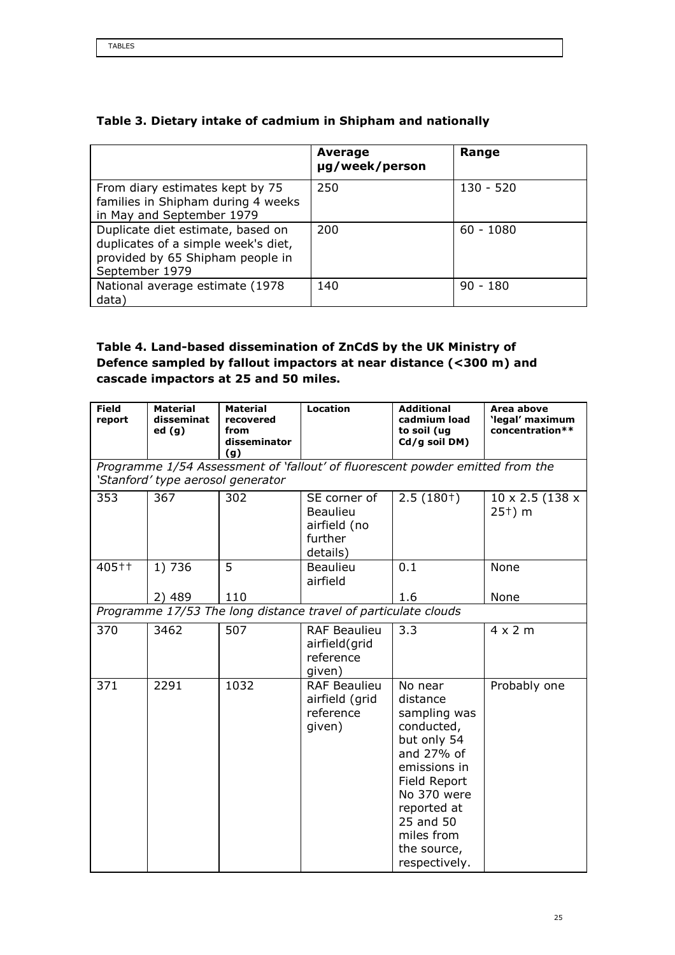|                                                                                                                                | Average<br>µg/week/person | Range       |
|--------------------------------------------------------------------------------------------------------------------------------|---------------------------|-------------|
| From diary estimates kept by 75<br>families in Shipham during 4 weeks<br>in May and September 1979                             | 250                       | $130 - 520$ |
| Duplicate diet estimate, based on<br>duplicates of a simple week's diet,<br>provided by 65 Shipham people in<br>September 1979 | 200                       | $60 - 1080$ |
| National average estimate (1978)<br>data)                                                                                      | 140                       | $90 - 180$  |

## Table 3. Dietary intake of cadmium in Shipham and nationally

# Table 4. Land-based dissemination of ZnCdS by the UK Ministry of Defence sampled by fallout impactors at near distance (<300 m) and cascade impactors at 25 and 50 miles.

| <b>Field</b><br>report | <b>Material</b><br>disseminat<br>ed(g)                                                                             | <b>Material</b><br>recovered<br>from<br>disseminator<br>(g) | <b>Location</b>                                                        | <b>Additional</b><br>cadmium load<br>to soil (ug<br>Cd/g soil DM)                                                                                                                                       | Area above<br>'legal' maximum<br>concentration** |  |  |
|------------------------|--------------------------------------------------------------------------------------------------------------------|-------------------------------------------------------------|------------------------------------------------------------------------|---------------------------------------------------------------------------------------------------------------------------------------------------------------------------------------------------------|--------------------------------------------------|--|--|
|                        | Programme 1/54 Assessment of 'fallout' of fluorescent powder emitted from the<br>'Stanford' type aerosol generator |                                                             |                                                                        |                                                                                                                                                                                                         |                                                  |  |  |
| 353                    | 367                                                                                                                | 302                                                         | SE corner of<br><b>Beaulieu</b><br>airfield (no<br>further<br>details) | $2.5(180+)$                                                                                                                                                                                             | 10 x 2.5 (138 x<br>$25†$ m                       |  |  |
| 405++                  | 1) 736                                                                                                             | 5                                                           | <b>Beaulieu</b><br>airfield                                            | 0.1                                                                                                                                                                                                     | None                                             |  |  |
|                        | 2) 489                                                                                                             | 110                                                         |                                                                        | 1.6                                                                                                                                                                                                     | None                                             |  |  |
|                        |                                                                                                                    |                                                             | Programme 17/53 The long distance travel of particulate clouds         |                                                                                                                                                                                                         |                                                  |  |  |
| 370                    | 3462                                                                                                               | 507                                                         | <b>RAF Beaulieu</b><br>airfield(grid<br>reference<br>given)            | 3.3                                                                                                                                                                                                     | $4 \times 2$ m                                   |  |  |
| 371                    | 2291                                                                                                               | 1032                                                        | <b>RAF Beaulieu</b><br>airfield (grid<br>reference<br>given)           | No near<br>distance<br>sampling was<br>conducted,<br>but only 54<br>and 27% of<br>emissions in<br>Field Report<br>No 370 were<br>reported at<br>25 and 50<br>miles from<br>the source,<br>respectively. | Probably one                                     |  |  |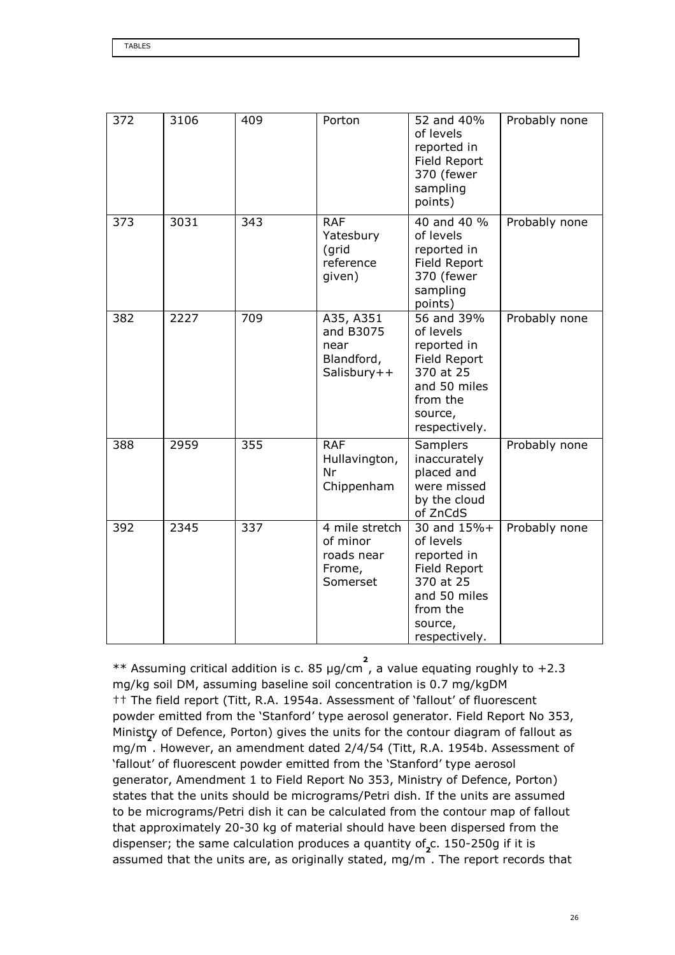| 372 | 3106 | 409 | Porton                                                         | 52 and 40%<br>of levels<br>reported in<br>Field Report<br>370 (fewer<br>sampling<br>points)                                  | Probably none |
|-----|------|-----|----------------------------------------------------------------|------------------------------------------------------------------------------------------------------------------------------|---------------|
| 373 | 3031 | 343 | <b>RAF</b><br>Yatesbury<br>(grid<br>reference<br>given)        | 40 and 40 %<br>of levels<br>reported in<br>Field Report<br>370 (fewer<br>sampling<br>points)                                 | Probably none |
| 382 | 2227 | 709 | A35, A351<br>and B3075<br>near<br>Blandford,<br>Salisbury++    | 56 and 39%<br>of levels<br>reported in<br>Field Report<br>370 at 25<br>and 50 miles<br>from the<br>source,<br>respectively.  | Probably none |
| 388 | 2959 | 355 | <b>RAF</b><br>Hullavington,<br>Nr<br>Chippenham                | <b>Samplers</b><br>inaccurately<br>placed and<br>were missed<br>by the cloud<br>of ZnCdS                                     | Probably none |
| 392 | 2345 | 337 | 4 mile stretch<br>of minor<br>roads near<br>Frome,<br>Somerset | 30 and 15%+<br>of levels<br>reported in<br>Field Report<br>370 at 25<br>and 50 miles<br>from the<br>source,<br>respectively. | Probably none |

\*\* Assuming critical addition is c. 85 µg/cm , a value equating roughly to +2.3 2 mg/kg soil DM, assuming baseline soil concentration is 0.7 mg/kgDM †† The field report (Titt, R.A. 1954a. Assessment of 'fallout' of fluorescent powder emitted from the 'Stanford' type aerosol generator. Field Report No 353, Ministry of Defence, Porton) gives the units for the contour diagram of fallout as mg/m . However, an amendment dated 2/4/54 (Titt, R.A. 1954b. Assessment of 'fallout' of fluorescent powder emitted from the 'Stanford' type aerosol generator, Amendment 1 to Field Report No 353, Ministry of Defence, Porton) states that the units should be micrograms/Petri dish. If the units are assumed to be micrograms/Petri dish it can be calculated from the contour map of fallout that approximately 20-30 kg of material should have been dispersed from the dispenser; the same calculation produces a quantity of<sub>2</sub>c. 150-250g if it is assumed that the units are, as originally stated, mg/m . The report records that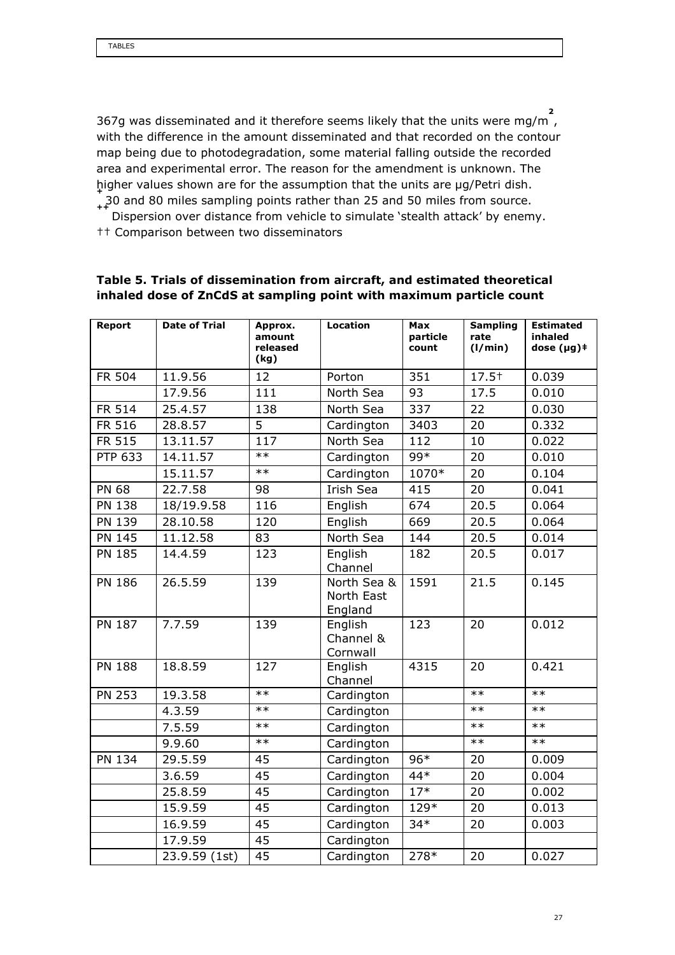367g was disseminated and it therefore seems likely that the units were mg/m , 2 with the difference in the amount disseminated and that recorded on the contour map being due to photodegradation, some material falling outside the recorded area and experimental error. The reason for the amendment is unknown. The higher values shown are for the assumption that the units are µg/Petri dish. + 30 and 80 miles sampling points rather than 25 and 50 miles from source. ++

Dispersion over distance from vehicle to simulate 'stealth attack' by enemy. †† Comparison between two disseminators

| Report        | <b>Date of Trial</b> | Approx.<br>amount<br>released | <b>Location</b>                      | <b>Max</b><br>particle<br>count | <b>Sampling</b><br>rate<br>(1/min) | <b>Estimated</b><br>inhaled<br>dose $(\mu g)$ $*$ |
|---------------|----------------------|-------------------------------|--------------------------------------|---------------------------------|------------------------------------|---------------------------------------------------|
|               |                      | (kg)                          |                                      |                                 |                                    |                                                   |
| FR 504        | 11.9.56              | 12                            | Porton                               | 351                             | $17.5+$                            | 0.039                                             |
|               | 17.9.56              | 111                           | North Sea                            | 93                              | 17.5                               | 0.010                                             |
| FR 514        | 25.4.57              | 138                           | North Sea                            | 337                             | 22                                 | 0.030                                             |
| FR 516        | 28.8.57              | $\overline{5}$                | Cardington                           | 3403                            | 20                                 | 0.332                                             |
| FR 515        | 13.11.57             | 117                           | North Sea                            | 112                             | 10                                 | 0.022                                             |
| PTP 633       | 14.11.57             | $**$                          | Cardington                           | $99*$                           | 20                                 | 0.010                                             |
|               | 15.11.57             | $***$                         | Cardington                           | 1070*                           | 20                                 | 0.104                                             |
| <b>PN 68</b>  | 22.7.58              | 98                            | Irish Sea                            | 415                             | 20                                 | 0.041                                             |
| PN 138        | 18/19.9.58           | 116                           | English                              | 674                             | 20.5                               | 0.064                                             |
| PN 139        | 28.10.58             | 120                           | English                              | 669                             | 20.5                               | 0.064                                             |
| <b>PN 145</b> | 11.12.58             | 83                            | North Sea                            | 144                             | 20.5                               | 0.014                                             |
| <b>PN 185</b> | 14.4.59              | 123                           | English<br>Channel                   | 182                             | 20.5                               | 0.017                                             |
| <b>PN 186</b> | 26.5.59              | 139                           | North Sea &<br>North East<br>England | 1591                            | 21.5                               | 0.145                                             |
| PN 187        | 7.7.59               | 139                           | English<br>Channel &<br>Cornwall     | 123                             | 20                                 | 0.012                                             |
| <b>PN 188</b> | 18.8.59              | 127                           | English<br>Channel                   | 4315                            | 20                                 | 0.421                                             |
| <b>PN 253</b> | 19.3.58              | $**$                          | Cardington                           |                                 | $***$                              | $**$                                              |
|               | 4.3.59               | $**$                          | Cardington                           |                                 | $**$                               | $**$                                              |
|               | 7.5.59               | $**$                          | Cardington                           |                                 | $**$                               | $**$                                              |
|               | 9.9.60               | $***$                         | Cardington                           |                                 | $**$                               | $***$                                             |
| <b>PN 134</b> | 29.5.59              | 45                            | Cardington                           | $96*$                           | 20                                 | 0.009                                             |
|               | 3.6.59               | 45                            | Cardington                           | 44*                             | 20                                 | 0.004                                             |
|               | 25.8.59              | 45                            | Cardington                           | $17*$                           | 20                                 | 0.002                                             |
|               | 15.9.59              | 45                            | Cardington                           | 129*                            | 20                                 | 0.013                                             |
|               | 16.9.59              | 45                            | Cardington                           | $34*$                           | 20                                 | 0.003                                             |
|               | 17.9.59              | 45                            | Cardington                           |                                 |                                    |                                                   |
|               | 23.9.59 (1st)        | 45                            | Cardington                           | 278*                            | 20                                 | 0.027                                             |

## Table 5. Trials of dissemination from aircraft, and estimated theoretical inhaled dose of ZnCdS at sampling point with maximum particle count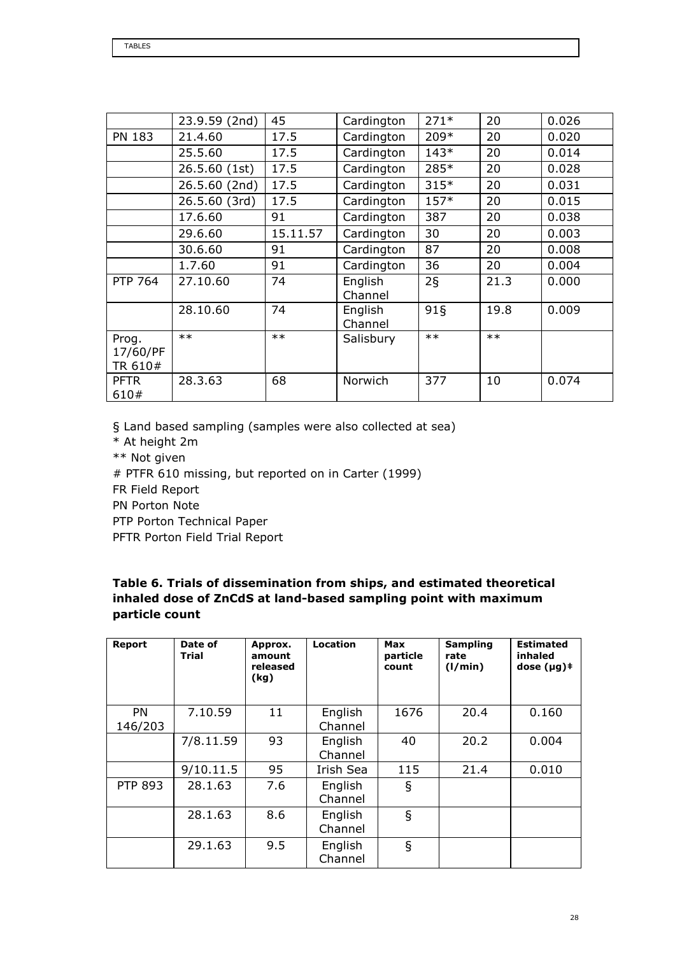|                              | 23.9.59 (2nd) | 45       | Cardington         | $271*$          | 20    | 0.026 |
|------------------------------|---------------|----------|--------------------|-----------------|-------|-------|
| <b>PN 183</b>                | 21.4.60       | 17.5     | Cardington         | 209*            | 20    | 0.020 |
|                              | 25.5.60       | 17.5     | Cardington         | $143*$          | 20    | 0.014 |
|                              | 26.5.60 (1st) | 17.5     | Cardington         | 285*            | 20    | 0.028 |
|                              | 26.5.60 (2nd) | 17.5     | Cardington         | $315*$          | 20    | 0.031 |
|                              | 26.5.60 (3rd) | 17.5     | Cardington         | $157*$          | 20    | 0.015 |
|                              | 17.6.60       | 91       | Cardington         | 387             | 20    | 0.038 |
|                              | 29.6.60       | 15.11.57 | Cardington         | 30              | 20    | 0.003 |
|                              | 30.6.60       | 91       | Cardington         | 87              | 20    | 0.008 |
|                              | 1.7.60        | 91       | Cardington         | 36              | 20    | 0.004 |
| <b>PTP 764</b>               | 27.10.60      | 74       | English<br>Channel | $2\overline{S}$ | 21.3  | 0.000 |
|                              | 28.10.60      | 74       | English<br>Channel | $91\xi$         | 19.8  | 0.009 |
| Prog.<br>17/60/PF<br>TR 610# | $***$         | $***$    | Salisbury          | $**$            | $***$ |       |
| <b>PFTR</b><br>610#          | 28.3.63       | 68       | Norwich            | 377             | 10    | 0.074 |

§ Land based sampling (samples were also collected at sea)

\* At height 2m

\*\* Not given

# PTFR 610 missing, but reported on in Carter (1999)

FR Field Report

PN Porton Note

PTP Porton Technical Paper

PFTR Porton Field Trial Report

## Table 6. Trials of dissemination from ships, and estimated theoretical inhaled dose of ZnCdS at land-based sampling point with maximum particle count

| <b>Report</b>        | Date of<br>Trial | Approx.<br>amount<br>released<br>(kg) | Location           | Max<br>particle<br>count | <b>Sampling</b><br>rate<br>(1/min) | <b>Estimated</b><br>inhaled<br>dose $(\mu g)$ $\dagger$ |
|----------------------|------------------|---------------------------------------|--------------------|--------------------------|------------------------------------|---------------------------------------------------------|
| <b>PN</b><br>146/203 | 7.10.59          | 11                                    | English<br>Channel | 1676                     | 20.4                               | 0.160                                                   |
|                      | 7/8.11.59        | 93                                    | English<br>Channel | 40                       | 20.2                               | 0.004                                                   |
|                      | 9/10.11.5        | 95                                    | Irish Sea          | 115                      | 21.4                               | 0.010                                                   |
| <b>PTP 893</b>       | 28.1.63          | 7.6                                   | English<br>Channel | ş                        |                                    |                                                         |
|                      | 28.1.63          | 8.6                                   | English<br>Channel | $\S$                     |                                    |                                                         |
|                      | 29.1.63          | 9.5                                   | English<br>Channel | $\S$                     |                                    |                                                         |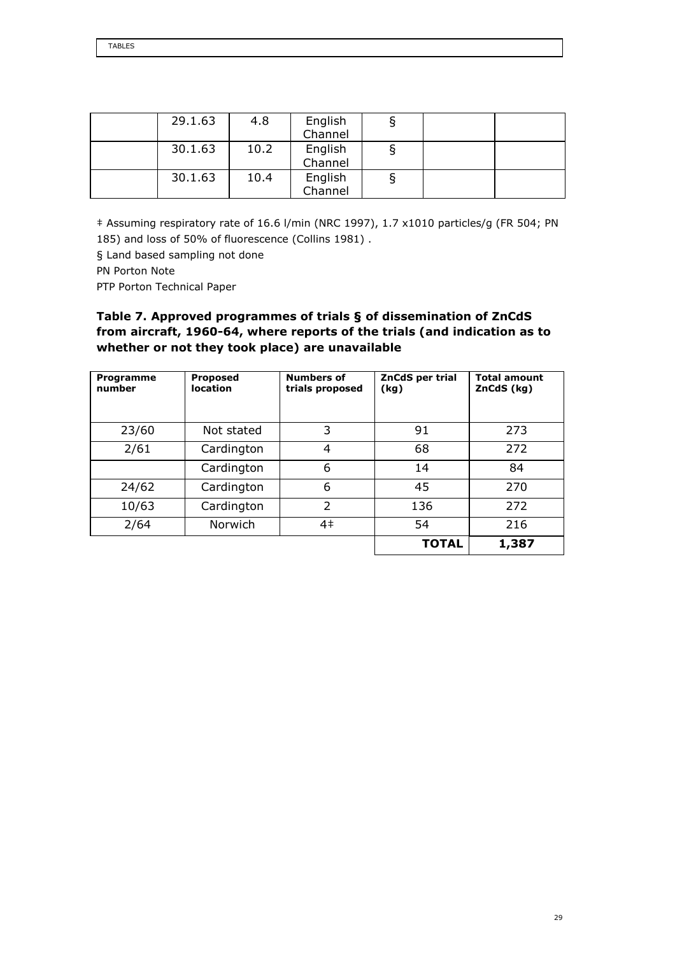| 29.1.63 | 4.8  | English<br>Channel |  |  |
|---------|------|--------------------|--|--|
| 30.1.63 | 10.2 | English<br>Channel |  |  |
| 30.1.63 | 10.4 | English<br>Channel |  |  |

‡ Assuming respiratory rate of 16.6 l/min (NRC 1997), 1.7 x1010 particles/g (FR 504; PN 185) and loss of 50% of fluorescence (Collins 1981) .

§ Land based sampling not done

PN Porton Note

PTP Porton Technical Paper

## Table 7. Approved programmes of trials § of dissemination of ZnCdS from aircraft, 1960-64, where reports of the trials (and indication as to whether or not they took place) are unavailable

| Programme<br>number | <b>Proposed</b><br>location | <b>Numbers of</b><br>trials proposed | ZnCdS per trial<br>(kg) | <b>Total amount</b><br>ZnCdS (kg) |
|---------------------|-----------------------------|--------------------------------------|-------------------------|-----------------------------------|
| 23/60               | Not stated                  | 3                                    | 91                      | 273                               |
| 2/61                | Cardington                  | 4                                    | 68                      | 272                               |
|                     | Cardington                  | 6                                    | 14                      | 84                                |
| 24/62               | Cardington                  | 6                                    | 45                      | 270                               |
| 10/63               | Cardington                  | $\overline{2}$                       | 136                     | 272                               |
| 2/64                | Norwich                     | 4 <sup>‡</sup>                       | 54                      | 216                               |
|                     |                             |                                      | <b>TOTAL</b>            | 1,387                             |